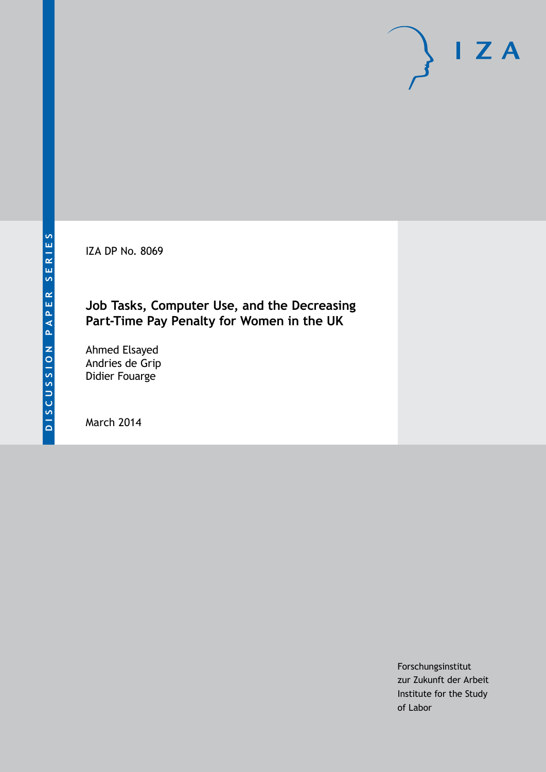IZA DP No. 8069

# **Job Tasks, Computer Use, and the Decreasing Part-Time Pay Penalty for Women in the UK**

Ahmed Elsayed Andries de Grip Didier Fouarge

March 2014

Forschungsinstitut zur Zukunft der Arbeit Institute for the Study of Labor

 $I Z A$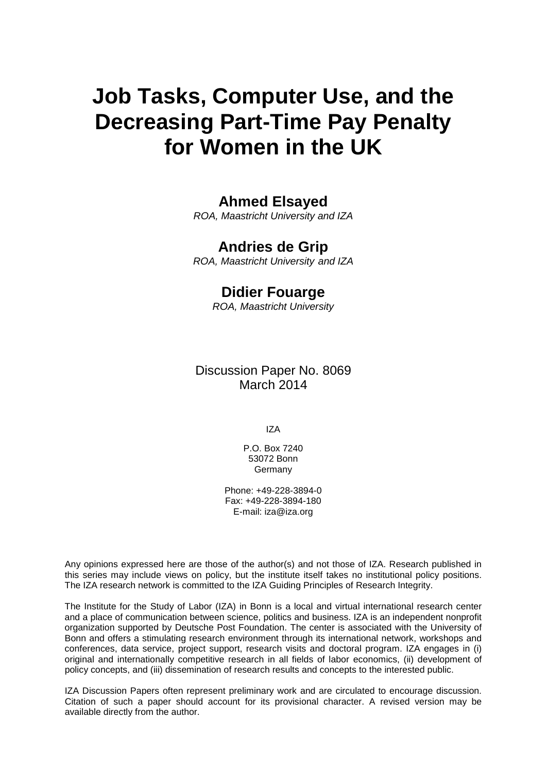# **Job Tasks, Computer Use, and the Decreasing Part-Time Pay Penalty for Women in the UK**

# **Ahmed Elsayed**

*ROA, Maastricht University and IZA*

# **Andries de Grip**

*ROA, Maastricht University and IZA*

# **Didier Fouarge**

*ROA, Maastricht University*

Discussion Paper No. 8069 March 2014

IZA

P.O. Box 7240 53072 Bonn **Germany** 

Phone: +49-228-3894-0 Fax: +49-228-3894-180 E-mail: [iza@iza.org](mailto:iza@iza.org)

Any opinions expressed here are those of the author(s) and not those of IZA. Research published in this series may include views on policy, but the institute itself takes no institutional policy positions. The IZA research network is committed to the IZA Guiding Principles of Research Integrity.

The Institute for the Study of Labor (IZA) in Bonn is a local and virtual international research center and a place of communication between science, politics and business. IZA is an independent nonprofit organization supported by Deutsche Post Foundation. The center is associated with the University of Bonn and offers a stimulating research environment through its international network, workshops and conferences, data service, project support, research visits and doctoral program. IZA engages in (i) original and internationally competitive research in all fields of labor economics, (ii) development of policy concepts, and (iii) dissemination of research results and concepts to the interested public.

<span id="page-1-0"></span>IZA Discussion Papers often represent preliminary work and are circulated to encourage discussion. Citation of such a paper should account for its provisional character. A revised version may be available directly from the author.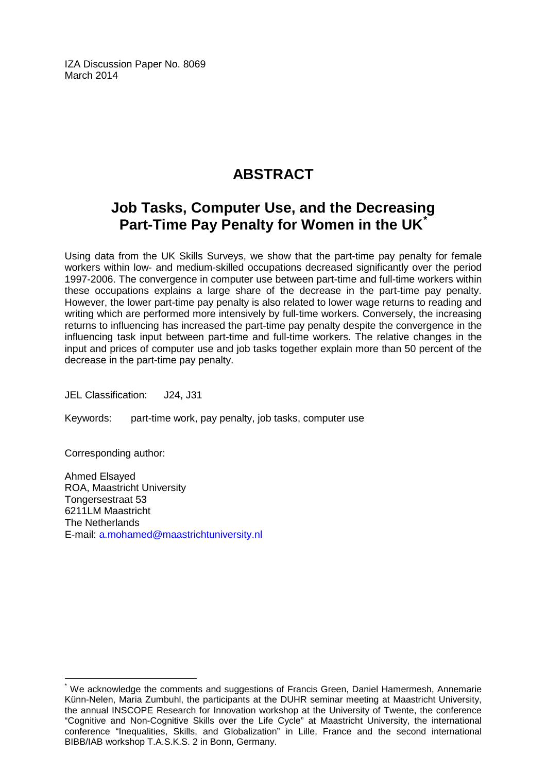IZA Discussion Paper No. 8069 March 2014

# **ABSTRACT**

# **Job Tasks, Computer Use, and the Decreasing Part-Time Pay Penalty for Women in the UK[\\*](#page-1-0)**

Using data from the UK Skills Surveys, we show that the part-time pay penalty for female workers within low- and medium-skilled occupations decreased significantly over the period 1997-2006. The convergence in computer use between part-time and full-time workers within these occupations explains a large share of the decrease in the part-time pay penalty. However, the lower part-time pay penalty is also related to lower wage returns to reading and writing which are performed more intensively by full-time workers. Conversely, the increasing returns to influencing has increased the part-time pay penalty despite the convergence in the influencing task input between part-time and full-time workers. The relative changes in the input and prices of computer use and job tasks together explain more than 50 percent of the decrease in the part-time pay penalty.

JEL Classification: J24, J31

Keywords: part-time work, pay penalty, job tasks, computer use

Corresponding author:

Ahmed Elsayed ROA, Maastricht University Tongersestraat 53 6211LM Maastricht The Netherlands E-mail: [a.mohamed@maastrichtuniversity.nl](mailto:a.mohamed@maastrichtuniversity.nl)

We acknowledge the comments and suggestions of Francis Green, Daniel Hamermesh, Annemarie Künn-Nelen, Maria Zumbuhl, the participants at the DUHR seminar meeting at Maastricht University, the annual INSCOPE Research for Innovation workshop at the University of Twente, the conference "Cognitive and Non-Cognitive Skills over the Life Cycle" at Maastricht University, the international conference "Inequalities, Skills, and Globalization" in Lille, France and the second international BIBB/IAB workshop T.A.S.K.S. 2 in Bonn, Germany.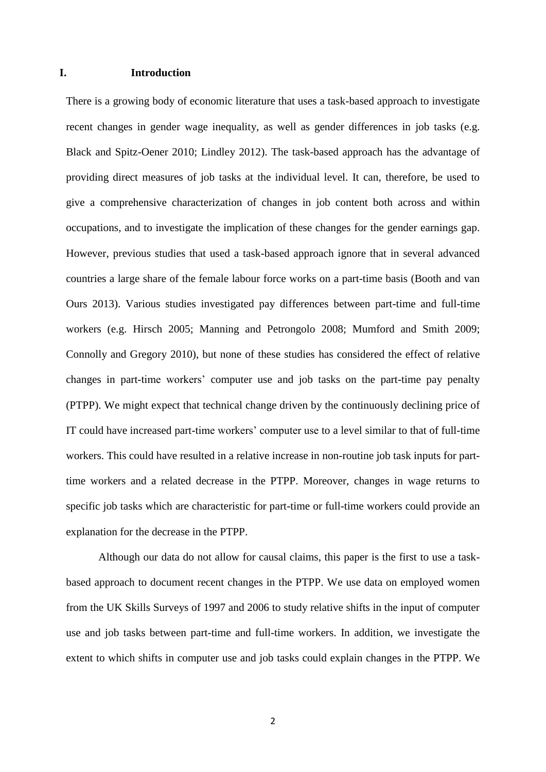#### **I. Introduction**

There is a growing body of economic literature that uses a task-based approach to investigate recent changes in gender wage inequality, as well as gender differences in job tasks (e.g. Black and Spitz-Oener 2010; Lindley 2012). The task-based approach has the advantage of providing direct measures of job tasks at the individual level. It can, therefore, be used to give a comprehensive characterization of changes in job content both across and within occupations, and to investigate the implication of these changes for the gender earnings gap. However, previous studies that used a task-based approach ignore that in several advanced countries a large share of the female labour force works on a part-time basis (Booth and van Ours 2013). Various studies investigated pay differences between part-time and full-time workers (e.g. Hirsch 2005; Manning and Petrongolo 2008; Mumford and Smith 2009; Connolly and Gregory 2010), but none of these studies has considered the effect of relative changes in part-time workers' computer use and job tasks on the part-time pay penalty (PTPP). We might expect that technical change driven by the continuously declining price of IT could have increased part-time workers' computer use to a level similar to that of full-time workers. This could have resulted in a relative increase in non-routine job task inputs for parttime workers and a related decrease in the PTPP. Moreover, changes in wage returns to specific job tasks which are characteristic for part-time or full-time workers could provide an explanation for the decrease in the PTPP.

Although our data do not allow for causal claims, this paper is the first to use a taskbased approach to document recent changes in the PTPP. We use data on employed women from the UK Skills Surveys of 1997 and 2006 to study relative shifts in the input of computer use and job tasks between part-time and full-time workers. In addition, we investigate the extent to which shifts in computer use and job tasks could explain changes in the PTPP. We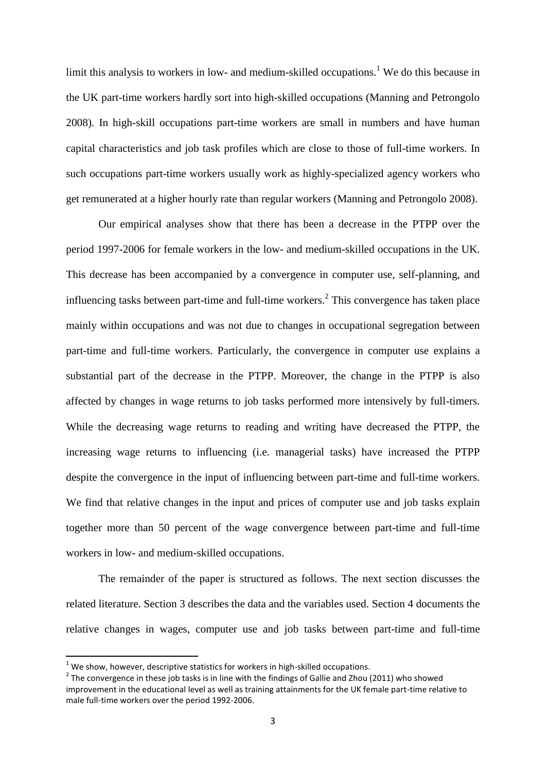limit this analysis to workers in low- and medium-skilled occupations.<sup>1</sup> We do this because in the UK part-time workers hardly sort into high-skilled occupations (Manning and Petrongolo 2008). In high-skill occupations part-time workers are small in numbers and have human capital characteristics and job task profiles which are close to those of full-time workers. In such occupations part-time workers usually work as highly-specialized agency workers who get remunerated at a higher hourly rate than regular workers (Manning and Petrongolo 2008).

Our empirical analyses show that there has been a decrease in the PTPP over the period 1997-2006 for female workers in the low- and medium-skilled occupations in the UK. This decrease has been accompanied by a convergence in computer use, self-planning, and influencing tasks between part-time and full-time workers. 2 This convergence has taken place mainly within occupations and was not due to changes in occupational segregation between part-time and full-time workers. Particularly, the convergence in computer use explains a substantial part of the decrease in the PTPP. Moreover, the change in the PTPP is also affected by changes in wage returns to job tasks performed more intensively by full-timers. While the decreasing wage returns to reading and writing have decreased the PTPP, the increasing wage returns to influencing (i.e. managerial tasks) have increased the PTPP despite the convergence in the input of influencing between part-time and full-time workers. We find that relative changes in the input and prices of computer use and job tasks explain together more than 50 percent of the wage convergence between part-time and full-time workers in low- and medium-skilled occupations.

The remainder of the paper is structured as follows. The next section discusses the related literature. Section 3 describes the data and the variables used. Section 4 documents the relative changes in wages, computer use and job tasks between part-time and full-time

**.** 

 $<sup>1</sup>$  We show, however, descriptive statistics for workers in high-skilled occupations.</sup>

 $2$  The convergence in these job tasks is in line with the findings of Gallie and Zhou (2011) who showed improvement in the educational level as well as training attainments for the UK female part-time relative to male full-time workers over the period 1992-2006.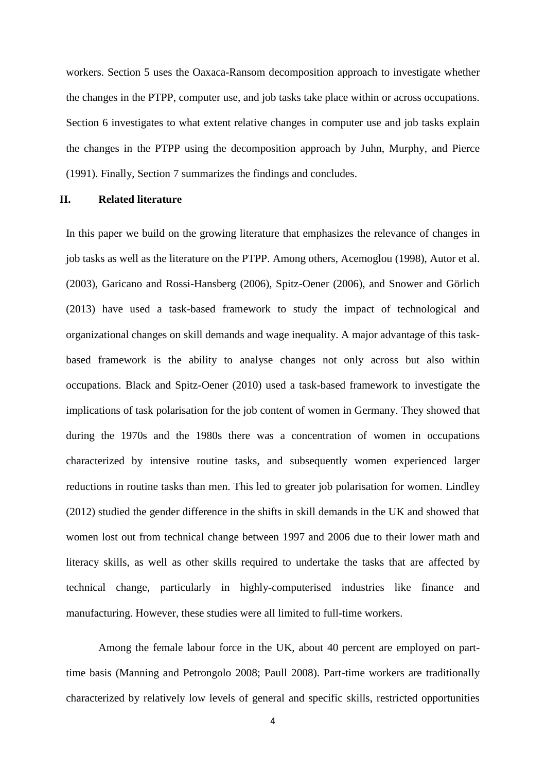workers. Section 5 uses the Oaxaca-Ransom decomposition approach to investigate whether the changes in the PTPP, computer use, and job tasks take place within or across occupations. Section 6 investigates to what extent relative changes in computer use and job tasks explain the changes in the PTPP using the decomposition approach by Juhn, Murphy, and Pierce (1991). Finally, Section 7 summarizes the findings and concludes.

### **II. Related literature**

In this paper we build on the growing literature that emphasizes the relevance of changes in job tasks as well as the literature on the PTPP. Among others, Acemoglou (1998), Autor et al. (2003), Garicano and Rossi-Hansberg (2006), Spitz-Oener (2006), and Snower and Görlich (2013) have used a task-based framework to study the impact of technological and organizational changes on skill demands and wage inequality. A major advantage of this taskbased framework is the ability to analyse changes not only across but also within occupations. Black and Spitz-Oener (2010) used a task-based framework to investigate the implications of task polarisation for the job content of women in Germany. They showed that during the 1970s and the 1980s there was a concentration of women in occupations characterized by intensive routine tasks, and subsequently women experienced larger reductions in routine tasks than men. This led to greater job polarisation for women. Lindley (2012) studied the gender difference in the shifts in skill demands in the UK and showed that women lost out from technical change between 1997 and 2006 due to their lower math and literacy skills, as well as other skills required to undertake the tasks that are affected by technical change, particularly in highly-computerised industries like finance and manufacturing. However, these studies were all limited to full-time workers.

Among the female labour force in the UK, about 40 percent are employed on parttime basis (Manning and Petrongolo 2008; Paull 2008). Part-time workers are traditionally characterized by relatively low levels of general and specific skills, restricted opportunities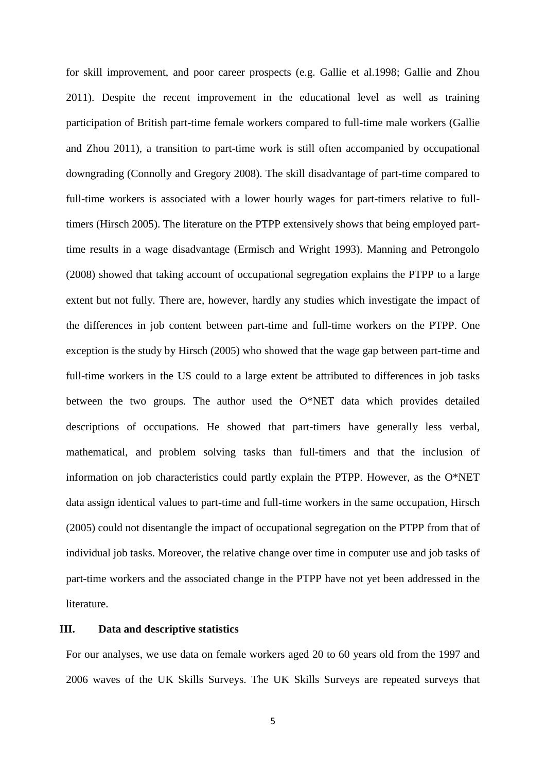for skill improvement, and poor career prospects (e.g. Gallie et al.1998; Gallie and Zhou 2011). Despite the recent improvement in the educational level as well as training participation of British part-time female workers compared to full-time male workers (Gallie and Zhou 2011), a transition to part-time work is still often accompanied by occupational downgrading (Connolly and Gregory 2008). The skill disadvantage of part-time compared to full-time workers is associated with a lower hourly wages for part-timers relative to fulltimers (Hirsch 2005). The literature on the PTPP extensively shows that being employed parttime results in a wage disadvantage (Ermisch and Wright 1993). Manning and Petrongolo (2008) showed that taking account of occupational segregation explains the PTPP to a large extent but not fully. There are, however, hardly any studies which investigate the impact of the differences in job content between part-time and full-time workers on the PTPP. One exception is the study by Hirsch (2005) who showed that the wage gap between part-time and full-time workers in the US could to a large extent be attributed to differences in job tasks between the two groups. The author used the O\*NET data which provides detailed descriptions of occupations. He showed that part-timers have generally less verbal, mathematical, and problem solving tasks than full-timers and that the inclusion of information on job characteristics could partly explain the PTPP. However, as the O\*NET data assign identical values to part-time and full-time workers in the same occupation, Hirsch (2005) could not disentangle the impact of occupational segregation on the PTPP from that of individual job tasks. Moreover, the relative change over time in computer use and job tasks of part-time workers and the associated change in the PTPP have not yet been addressed in the literature.

### **III. Data and descriptive statistics**

For our analyses, we use data on female workers aged 20 to 60 years old from the 1997 and 2006 waves of the UK Skills Surveys. The UK Skills Surveys are repeated surveys that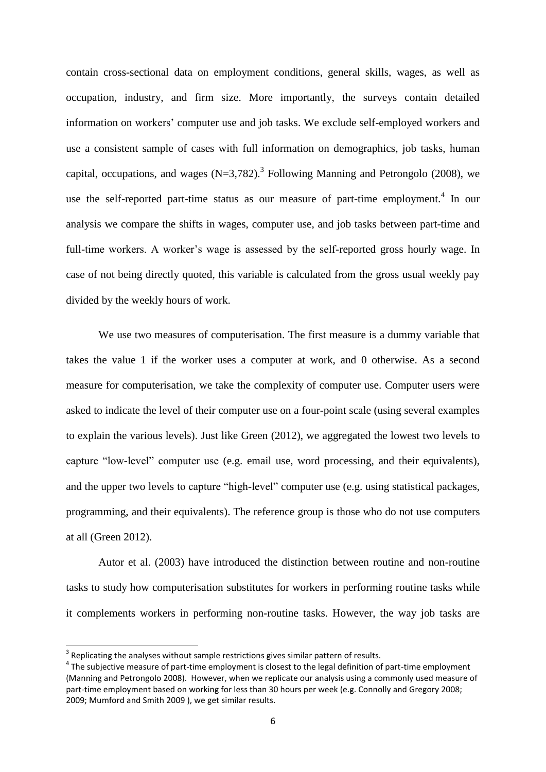contain cross-sectional data on employment conditions, general skills, wages, as well as occupation, industry, and firm size. More importantly, the surveys contain detailed information on workers' computer use and job tasks. We exclude self-employed workers and use a consistent sample of cases with full information on demographics, job tasks, human capital, occupations, and wages  $(N=3,782)$ .<sup>3</sup> Following Manning and Petrongolo (2008), we use the self-reported part-time status as our measure of part-time employment.<sup>4</sup> In our analysis we compare the shifts in wages, computer use, and job tasks between part-time and full-time workers. A worker's wage is assessed by the self-reported gross hourly wage. In case of not being directly quoted, this variable is calculated from the gross usual weekly pay divided by the weekly hours of work.

We use two measures of computerisation. The first measure is a dummy variable that takes the value 1 if the worker uses a computer at work, and 0 otherwise. As a second measure for computerisation, we take the complexity of computer use. Computer users were asked to indicate the level of their computer use on a four-point scale (using several examples to explain the various levels). Just like Green (2012), we aggregated the lowest two levels to capture "low-level" computer use (e.g. email use, word processing, and their equivalents), and the upper two levels to capture "high-level" computer use (e.g. using statistical packages, programming, and their equivalents). The reference group is those who do not use computers at all (Green 2012).

Autor et al. (2003) have introduced the distinction between routine and non-routine tasks to study how computerisation substitutes for workers in performing routine tasks while it complements workers in performing non-routine tasks. However, the way job tasks are

 $\overline{\phantom{a}}$ 

 $3$  Replicating the analyses without sample restrictions gives similar pattern of results.

 $4$  The subjective measure of part-time employment is closest to the legal definition of part-time employment (Manning and Petrongolo 2008). However, when we replicate our analysis using a commonly used measure of part-time employment based on working for less than 30 hours per week (e.g. Connolly and Gregory 2008; 2009; Mumford and Smith 2009 ), we get similar results.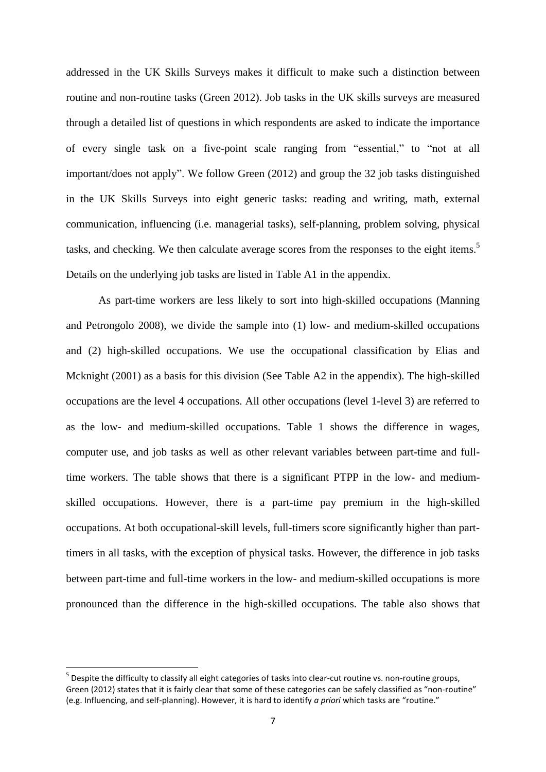addressed in the UK Skills Surveys makes it difficult to make such a distinction between routine and non-routine tasks (Green 2012). Job tasks in the UK skills surveys are measured through a detailed list of questions in which respondents are asked to indicate the importance of every single task on a five-point scale ranging from "essential," to "not at all important/does not apply". We follow Green (2012) and group the 32 job tasks distinguished in the UK Skills Surveys into eight generic tasks: reading and writing, math, external communication, influencing (i.e. managerial tasks), self-planning, problem solving, physical tasks, and checking. We then calculate average scores from the responses to the eight items.<sup>5</sup> Details on the underlying job tasks are listed in Table A1 in the appendix.

As part-time workers are less likely to sort into high-skilled occupations (Manning and Petrongolo 2008), we divide the sample into (1) low- and medium-skilled occupations and (2) high-skilled occupations. We use the occupational classification by Elias and Mcknight (2001) as a basis for this division (See Table A2 in the appendix). The high-skilled occupations are the level 4 occupations. All other occupations (level 1-level 3) are referred to as the low- and medium-skilled occupations. Table 1 shows the difference in wages, computer use, and job tasks as well as other relevant variables between part-time and fulltime workers. The table shows that there is a significant PTPP in the low- and mediumskilled occupations. However, there is a part-time pay premium in the high-skilled occupations. At both occupational-skill levels, full-timers score significantly higher than parttimers in all tasks, with the exception of physical tasks. However, the difference in job tasks between part-time and full-time workers in the low- and medium-skilled occupations is more pronounced than the difference in the high-skilled occupations. The table also shows that

**.** 

<sup>&</sup>lt;sup>5</sup> Despite the difficulty to classify all eight categories of tasks into clear-cut routine vs. non-routine groups, Green (2012) states that it is fairly clear that some of these categories can be safely classified as "non-routine" (e.g. Influencing, and self-planning). However, it is hard to identify *a priori* which tasks are "routine."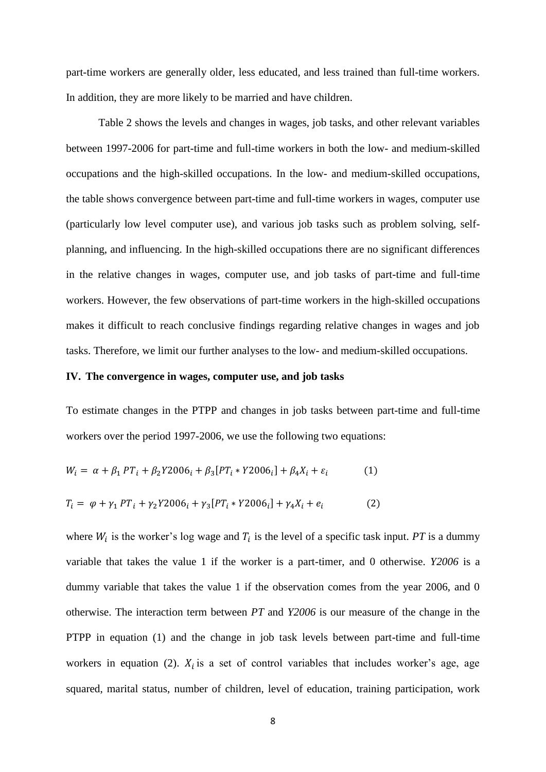part-time workers are generally older, less educated, and less trained than full-time workers. In addition, they are more likely to be married and have children.

Table 2 shows the levels and changes in wages, job tasks, and other relevant variables between 1997-2006 for part-time and full-time workers in both the low- and medium-skilled occupations and the high-skilled occupations. In the low- and medium-skilled occupations, the table shows convergence between part-time and full-time workers in wages, computer use (particularly low level computer use), and various job tasks such as problem solving, selfplanning, and influencing. In the high-skilled occupations there are no significant differences in the relative changes in wages, computer use, and job tasks of part-time and full-time workers. However, the few observations of part-time workers in the high-skilled occupations makes it difficult to reach conclusive findings regarding relative changes in wages and job tasks. Therefore, we limit our further analyses to the low- and medium-skilled occupations.

### **IV. The convergence in wages, computer use, and job tasks**

To estimate changes in the PTPP and changes in job tasks between part-time and full-time workers over the period 1997-2006, we use the following two equations:

$$
W_i = \alpha + \beta_1 PT_i + \beta_2 Y 2006_i + \beta_3 [PT_i * Y 2006_i] + \beta_4 X_i + \varepsilon_i \tag{1}
$$

$$
T_i = \varphi + \gamma_1 PT_i + \gamma_2 Y 2006_i + \gamma_3 [PT_i * Y 2006_i] + \gamma_4 X_i + e_i \tag{2}
$$

where  $W_i$  is the worker's log wage and  $T_i$  is the level of a specific task input. *PT* is a dummy variable that takes the value 1 if the worker is a part-timer, and 0 otherwise. *Y2006* is a dummy variable that takes the value 1 if the observation comes from the year 2006, and 0 otherwise. The interaction term between *PT* and *Y2006* is our measure of the change in the PTPP in equation (1) and the change in job task levels between part-time and full-time workers in equation (2).  $X_i$  is a set of control variables that includes worker's age, age squared, marital status, number of children, level of education, training participation, work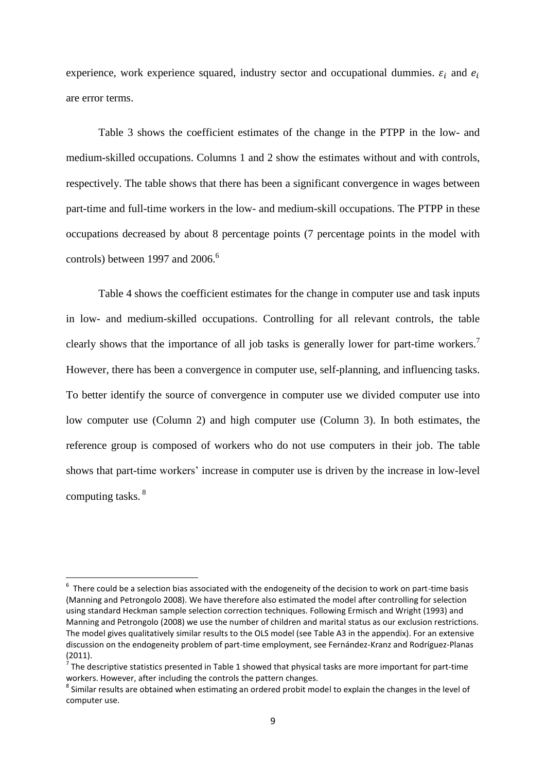experience, work experience squared, industry sector and occupational dummies.  $\varepsilon_i$  and  $e_i$ are error terms.

Table 3 shows the coefficient estimates of the change in the PTPP in the low- and medium-skilled occupations. Columns 1 and 2 show the estimates without and with controls, respectively. The table shows that there has been a significant convergence in wages between part-time and full-time workers in the low- and medium-skill occupations. The PTPP in these occupations decreased by about 8 percentage points (7 percentage points in the model with controls) between 1997 and 2006. 6

Table 4 shows the coefficient estimates for the change in computer use and task inputs in low- and medium-skilled occupations. Controlling for all relevant controls, the table clearly shows that the importance of all job tasks is generally lower for part-time workers.<sup>7</sup> However, there has been a convergence in computer use, self-planning, and influencing tasks. To better identify the source of convergence in computer use we divided computer use into low computer use (Column 2) and high computer use (Column 3). In both estimates, the reference group is composed of workers who do not use computers in their job. The table shows that part-time workers' increase in computer use is driven by the increase in low-level computing tasks.<sup>8</sup>

 6 There could be a selection bias associated with the endogeneity of the decision to work on part-time basis (Manning and Petrongolo 2008). We have therefore also estimated the model after controlling for selection using standard Heckman sample selection correction techniques. Following Ermisch and Wright (1993) and Manning and Petrongolo (2008) we use the number of children and marital status as our exclusion restrictions. The model gives qualitatively similar results to the OLS model (see Table A3 in the appendix). For an extensive discussion on the endogeneity problem of part-time employment, see Fernández-Kranz and Rodríguez-Planas (2011).

 $<sup>7</sup>$  The descriptive statistics presented in Table 1 showed that physical tasks are more important for part-time</sup> workers. However, after including the controls the pattern changes.

 $^8$  Similar results are obtained when estimating an ordered probit model to explain the changes in the level of computer use.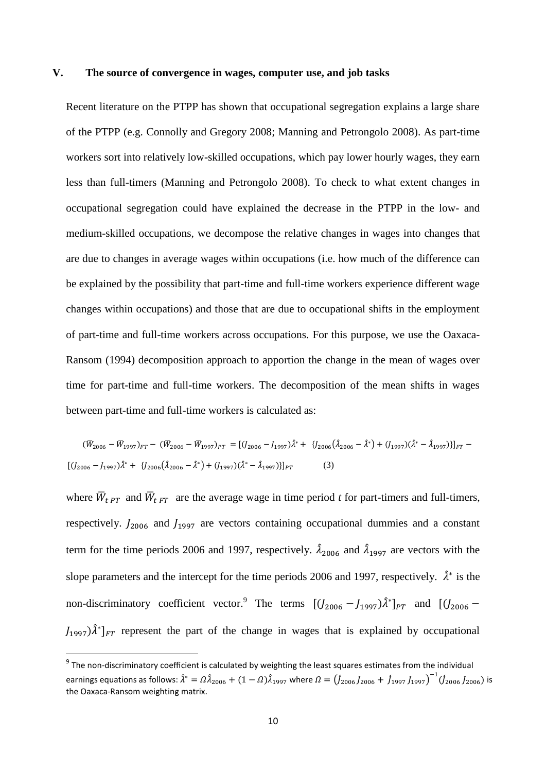#### **V. The source of convergence in wages, computer use, and job tasks**

Recent literature on the PTPP has shown that occupational segregation explains a large share of the PTPP (e.g. Connolly and Gregory 2008; Manning and Petrongolo 2008). As part-time workers sort into relatively low-skilled occupations, which pay lower hourly wages, they earn less than full-timers (Manning and Petrongolo 2008). To check to what extent changes in occupational segregation could have explained the decrease in the PTPP in the low- and medium-skilled occupations, we decompose the relative changes in wages into changes that are due to changes in average wages within occupations (i.e. how much of the difference can be explained by the possibility that part-time and full-time workers experience different wage changes within occupations) and those that are due to occupational shifts in the employment of part-time and full-time workers across occupations. For this purpose, we use the Oaxaca-Ransom (1994) decomposition approach to apportion the change in the mean of wages over time for part-time and full-time workers. The decomposition of the mean shifts in wages between part-time and full-time workers is calculated as:

$$
(\overline{W}_{2006} - \overline{W}_{1997})_{FT} - (\overline{W}_{2006} - \overline{W}_{1997})_{PT} = [(J_{2006} - J_{1997})\hat{\lambda}^* + J_{2006}(\hat{\lambda}_{2006} - \hat{\lambda}^*) + (J_{1997})(\hat{\lambda}^* - \hat{\lambda}_{1997})]_{FT} - [(J_{2006} - J_{1997})\hat{\lambda}^* + J_{2006}(\hat{\lambda}_{2006} - \hat{\lambda}^*) + (J_{1997})(\hat{\lambda}^* - \hat{\lambda}_{1997})]_{PT}
$$
\n(3)

where  $\bar{W}_{tPT}$  and  $\bar{W}_{tFT}$  are the average wage in time period *t* for part-timers and full-timers, respectively.  $J_{2006}$  and  $J_{1997}$  are vectors containing occupational dummies and a constant term for the time periods 2006 and 1997, respectively.  $\hat{\lambda}_{2006}$  and  $\hat{\lambda}_{1997}$  are vectors with the slope parameters and the intercept for the time periods 2006 and 1997, respectively.  $\hat{\lambda}^*$  is the non-discriminatory coefficient vector. The terms  $[(J_{2006} - J_{1997})\hat{\lambda}^*]_{PT}$  and  $[(J_{2006} - J_{297})\hat{\lambda}^*]_{PT}$  $J_{1997}$ ) $\hat{\lambda}^*$ ]<sub>FT</sub> represent the part of the change in wages that is explained by occupational

1

 $9$  The non-discriminatory coefficient is calculated by weighting the least squares estimates from the individual earnings equations as follows:  $\hat{\lambda}^*=\varOmega \hat{\lambda}_{2006}+(1-\varOmega)\hat{\lambda}_{1997}$  where  $\varOmega=\left(\hat{J}_{2006}J_{2006}+\hat{J}_{1997}J_{1997}\right)^{-1}(\hat{J}_{2006}J_{2006})$  is the Oaxaca-Ransom weighting matrix.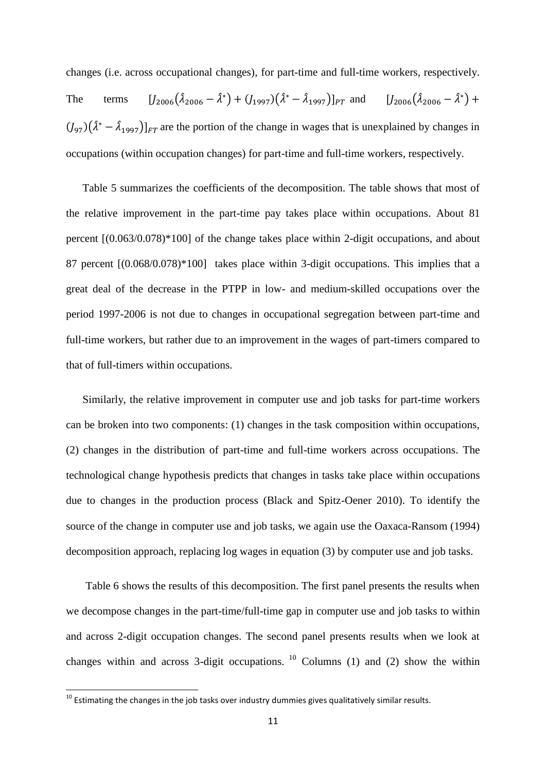changes (i.e. across occupational changes), for part-time and full-time workers, respectively. The terms  $[J_{2006}(\hat{\lambda}_{2006} - \hat{\lambda}^*) + (J_{1997})(\hat{\lambda}^* - \hat{\lambda}_{1997})]_{PT}$  and  $[J_{2006}(\hat{\lambda}_{2006} - \hat{\lambda}^*) +$  $((J_{97}) (\hat{\lambda}^* - \hat{\lambda}_{1997})]_{FT}$  are the portion of the change in wages that is unexplained by changes in occupations (within occupation changes) for part-time and full-time workers, respectively.

Table 5 summarizes the coefficients of the decomposition. The table shows that most of the relative improvement in the part-time pay takes place within occupations. About 81 percent [(0.063/0.078)\*100] of the change takes place within 2-digit occupations, and about 87 percent [(0.068/0.078)\*100] takes place within 3-digit occupations. This implies that a great deal of the decrease in the PTPP in low- and medium-skilled occupations over the period 1997-2006 is not due to changes in occupational segregation between part-time and full-time workers, but rather due to an improvement in the wages of part-timers compared to that of full-timers within occupations.

Similarly, the relative improvement in computer use and job tasks for part-time workers can be broken into two components: (1) changes in the task composition within occupations, (2) changes in the distribution of part-time and full-time workers across occupations. The technological change hypothesis predicts that changes in tasks take place within occupations due to changes in the production process (Black and Spitz-Oener 2010). To identify the source of the change in computer use and job tasks, we again use the Oaxaca-Ransom (1994) decomposition approach, replacing log wages in equation (3) by computer use and job tasks.

Table 6 shows the results of this decomposition. The first panel presents the results when we decompose changes in the part-time/full-time gap in computer use and job tasks to within and across 2-digit occupation changes. The second panel presents results when we look at changes within and across 3-digit occupations.  $10$  Columns (1) and (2) show the within

**.** 

 $^{10}$  Estimating the changes in the job tasks over industry dummies gives qualitatively similar results.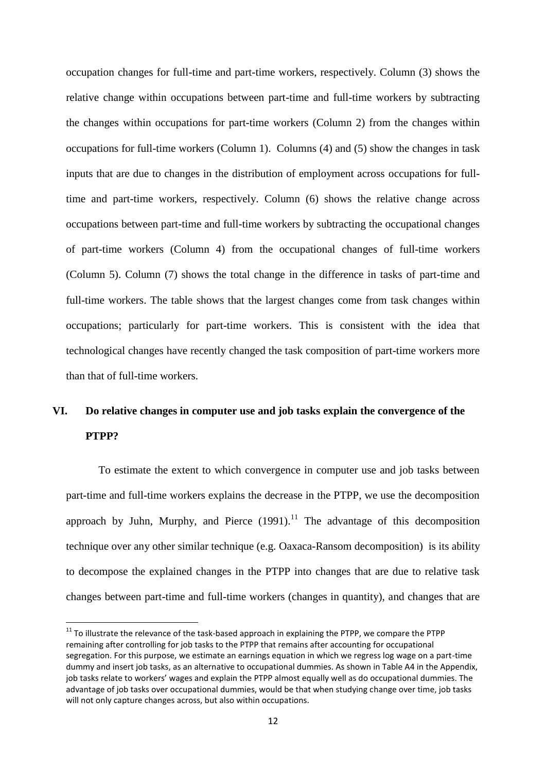occupation changes for full-time and part-time workers, respectively. Column (3) shows the relative change within occupations between part-time and full-time workers by subtracting the changes within occupations for part-time workers (Column 2) from the changes within occupations for full-time workers (Column 1). Columns (4) and (5) show the changes in task inputs that are due to changes in the distribution of employment across occupations for fulltime and part-time workers, respectively. Column (6) shows the relative change across occupations between part-time and full-time workers by subtracting the occupational changes of part-time workers (Column 4) from the occupational changes of full-time workers (Column 5). Column (7) shows the total change in the difference in tasks of part-time and full-time workers. The table shows that the largest changes come from task changes within occupations; particularly for part-time workers. This is consistent with the idea that technological changes have recently changed the task composition of part-time workers more than that of full-time workers.

# **VI. Do relative changes in computer use and job tasks explain the convergence of the PTPP?**

To estimate the extent to which convergence in computer use and job tasks between part-time and full-time workers explains the decrease in the PTPP, we use the decomposition approach by Juhn, Murphy, and Pierce  $(1991)$ .<sup>11</sup> The advantage of this decomposition technique over any other similar technique (e.g. Oaxaca-Ransom decomposition) is its ability to decompose the explained changes in the PTPP into changes that are due to relative task changes between part-time and full-time workers (changes in quantity), and changes that are

 $\overline{a}$ 

 $11$  To illustrate the relevance of the task-based approach in explaining the PTPP, we compare the PTPP remaining after controlling for job tasks to the PTPP that remains after accounting for occupational segregation. For this purpose, we estimate an earnings equation in which we regress log wage on a part-time dummy and insert job tasks, as an alternative to occupational dummies. As shown in Table A4 in the Appendix, job tasks relate to workers' wages and explain the PTPP almost equally well as do occupational dummies. The advantage of job tasks over occupational dummies, would be that when studying change over time, job tasks will not only capture changes across, but also within occupations.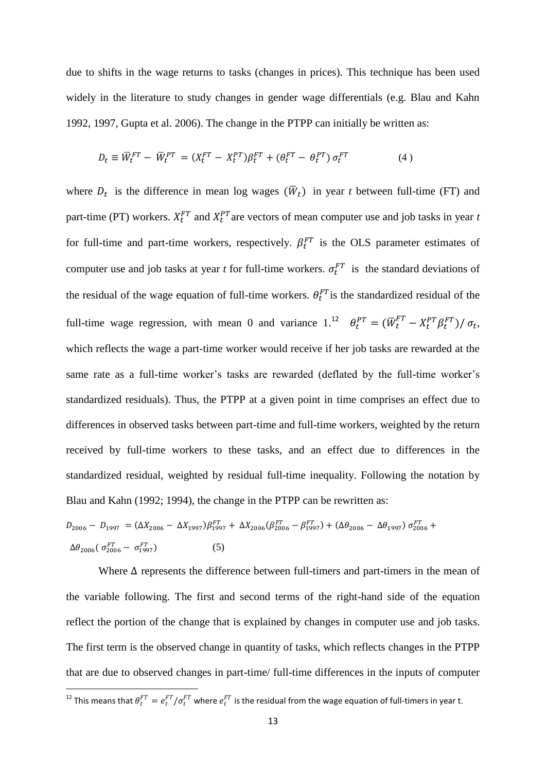due to shifts in the wage returns to tasks (changes in prices). This technique has been used widely in the literature to study changes in gender wage differentials (e.g. Blau and Kahn 1992, 1997, Gupta et al. 2006). The change in the PTPP can initially be written as:

$$
D_t \equiv \overline{W}_t^{FT} - \overline{W}_t^{PT} = (X_t^{FT} - X_t^{PT})\beta_t^{FT} + (\theta_t^{FT} - \theta_t^{PT})\,\sigma_t^{FT}
$$
(4)

where  $D_t$  is the difference in mean log wages  $(\overline{W}_t)$  in year *t* between full-time (FT) and part-time (PT) workers.  $X_t^{FT}$  and  $X_t^{PT}$  are vectors of mean computer use and job tasks in year *t* for full-time and part-time workers, respectively.  $\beta_t^{FT}$  is the OLS parameter estimates of computer use and job tasks at year *t* for full-time workers.  $\sigma_t^{FT}$  is the standard deviations of the residual of the wage equation of full-time workers.  $\theta_t^{FT}$  is the standardized residual of the full-time wage regression, with mean 0 and variance  $1.^{12}$   $\theta_t^{PT} = (\overline{W}_t^{FT} - X_t^{PT} \beta_t^{FT}) / \sigma_t$ , which reflects the wage a part-time worker would receive if her job tasks are rewarded at the same rate as a full-time worker's tasks are rewarded (deflated by the full-time worker's standardized residuals). Thus, the PTPP at a given point in time comprises an effect due to differences in observed tasks between part-time and full-time workers, weighted by the return received by full-time workers to these tasks, and an effect due to differences in the standardized residual, weighted by residual full-time inequality. Following the notation by Blau and Kahn (1992; 1994), the change in the PTPP can be rewritten as:

$$
D_{2006} - D_{1997} = (\Delta X_{2006} - \Delta X_{1997}) \beta_{1997}^{FT} + \Delta X_{2006} (\beta_{2006}^{FT} - \beta_{1997}^{FT}) + (\Delta \theta_{2006} - \Delta \theta_{1997}) \sigma_{2006}^{FT} + \Delta \theta_{2006} (\sigma_{2006}^{FT} - \sigma_{1997}^{FT})
$$
\n(5)

Where  $\Delta$  represents the difference between full-timers and part-timers in the mean of the variable following. The first and second terms of the right-hand side of the equation reflect the portion of the change that is explained by changes in computer use and job tasks. The first term is the observed change in quantity of tasks, which reflects changes in the PTPP that are due to observed changes in part-time/ full-time differences in the inputs of computer

**.** 

<sup>&</sup>lt;sup>12</sup> This means that  $\theta_t^{FT}=e_t^{FT}/\sigma_t^{FT}$  where  $e_t^{FT}$  is the residual from the wage equation of full-timers in year t.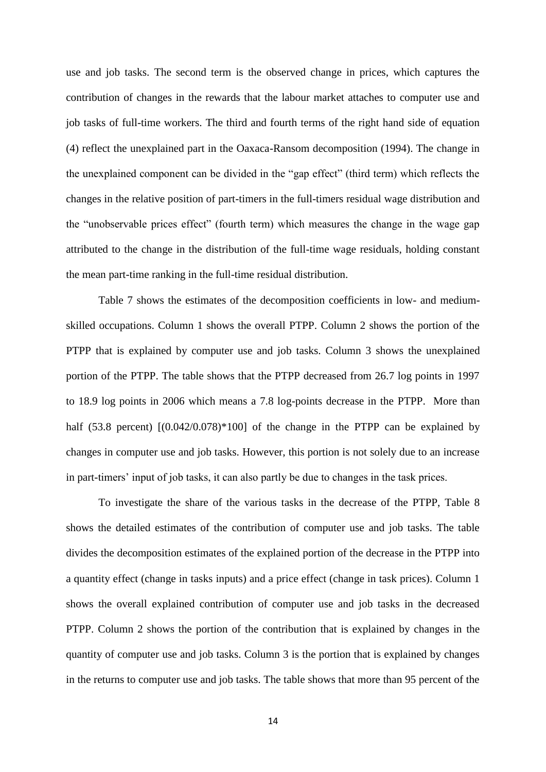use and job tasks. The second term is the observed change in prices, which captures the contribution of changes in the rewards that the labour market attaches to computer use and job tasks of full-time workers. The third and fourth terms of the right hand side of equation (4) reflect the unexplained part in the Oaxaca-Ransom decomposition (1994). The change in the unexplained component can be divided in the "gap effect" (third term) which reflects the changes in the relative position of part-timers in the full-timers residual wage distribution and the "unobservable prices effect" (fourth term) which measures the change in the wage gap attributed to the change in the distribution of the full-time wage residuals, holding constant the mean part-time ranking in the full-time residual distribution.

Table 7 shows the estimates of the decomposition coefficients in low- and mediumskilled occupations. Column 1 shows the overall PTPP. Column 2 shows the portion of the PTPP that is explained by computer use and job tasks. Column 3 shows the unexplained portion of the PTPP. The table shows that the PTPP decreased from 26.7 log points in 1997 to 18.9 log points in 2006 which means a 7.8 log-points decrease in the PTPP. More than half (53.8 percent)  $[(0.042/0.078)*100]$  of the change in the PTPP can be explained by changes in computer use and job tasks. However, this portion is not solely due to an increase in part-timers' input of job tasks, it can also partly be due to changes in the task prices.

To investigate the share of the various tasks in the decrease of the PTPP, Table 8 shows the detailed estimates of the contribution of computer use and job tasks. The table divides the decomposition estimates of the explained portion of the decrease in the PTPP into a quantity effect (change in tasks inputs) and a price effect (change in task prices). Column 1 shows the overall explained contribution of computer use and job tasks in the decreased PTPP. Column 2 shows the portion of the contribution that is explained by changes in the quantity of computer use and job tasks. Column 3 is the portion that is explained by changes in the returns to computer use and job tasks. The table shows that more than 95 percent of the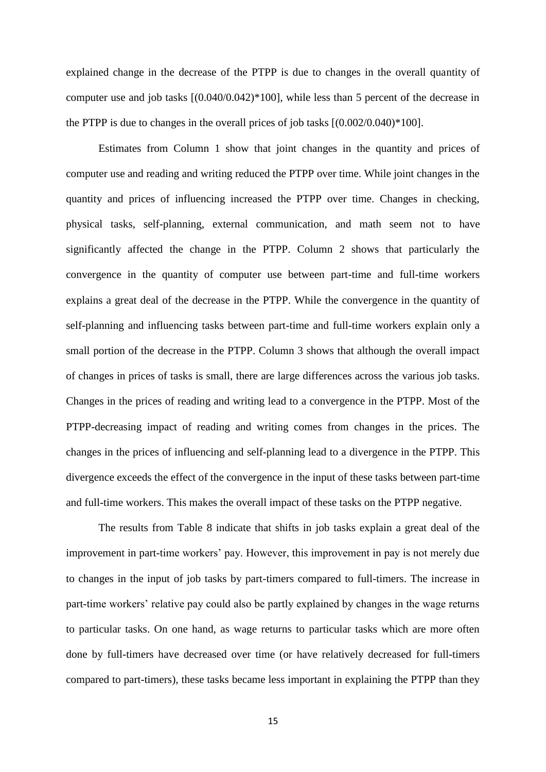explained change in the decrease of the PTPP is due to changes in the overall quantity of computer use and job tasks [(0.040/0.042)\*100], while less than 5 percent of the decrease in the PTPP is due to changes in the overall prices of job tasks  $[(0.002/0.040)*100]$ .

Estimates from Column 1 show that joint changes in the quantity and prices of computer use and reading and writing reduced the PTPP over time. While joint changes in the quantity and prices of influencing increased the PTPP over time. Changes in checking, physical tasks, self-planning, external communication, and math seem not to have significantly affected the change in the PTPP. Column 2 shows that particularly the convergence in the quantity of computer use between part-time and full-time workers explains a great deal of the decrease in the PTPP. While the convergence in the quantity of self-planning and influencing tasks between part-time and full-time workers explain only a small portion of the decrease in the PTPP. Column 3 shows that although the overall impact of changes in prices of tasks is small, there are large differences across the various job tasks. Changes in the prices of reading and writing lead to a convergence in the PTPP. Most of the PTPP-decreasing impact of reading and writing comes from changes in the prices. The changes in the prices of influencing and self-planning lead to a divergence in the PTPP. This divergence exceeds the effect of the convergence in the input of these tasks between part-time and full-time workers. This makes the overall impact of these tasks on the PTPP negative.

The results from Table 8 indicate that shifts in job tasks explain a great deal of the improvement in part-time workers' pay. However, this improvement in pay is not merely due to changes in the input of job tasks by part-timers compared to full-timers. The increase in part-time workers' relative pay could also be partly explained by changes in the wage returns to particular tasks. On one hand, as wage returns to particular tasks which are more often done by full-timers have decreased over time (or have relatively decreased for full-timers compared to part-timers), these tasks became less important in explaining the PTPP than they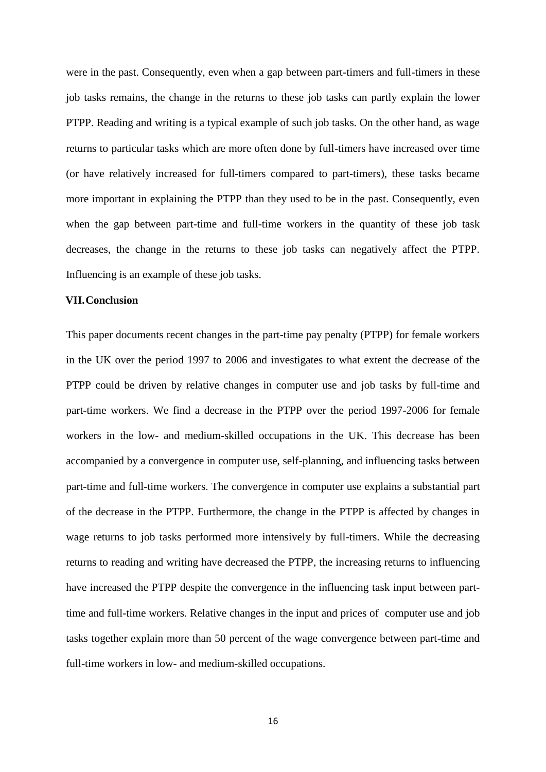were in the past. Consequently, even when a gap between part-timers and full-timers in these job tasks remains, the change in the returns to these job tasks can partly explain the lower PTPP. Reading and writing is a typical example of such job tasks. On the other hand, as wage returns to particular tasks which are more often done by full-timers have increased over time (or have relatively increased for full-timers compared to part-timers), these tasks became more important in explaining the PTPP than they used to be in the past. Consequently, even when the gap between part-time and full-time workers in the quantity of these job task decreases, the change in the returns to these job tasks can negatively affect the PTPP. Influencing is an example of these job tasks.

### **VII.Conclusion**

This paper documents recent changes in the part-time pay penalty (PTPP) for female workers in the UK over the period 1997 to 2006 and investigates to what extent the decrease of the PTPP could be driven by relative changes in computer use and job tasks by full-time and part-time workers. We find a decrease in the PTPP over the period 1997-2006 for female workers in the low- and medium-skilled occupations in the UK. This decrease has been accompanied by a convergence in computer use, self-planning, and influencing tasks between part-time and full-time workers. The convergence in computer use explains a substantial part of the decrease in the PTPP. Furthermore, the change in the PTPP is affected by changes in wage returns to job tasks performed more intensively by full-timers. While the decreasing returns to reading and writing have decreased the PTPP, the increasing returns to influencing have increased the PTPP despite the convergence in the influencing task input between parttime and full-time workers. Relative changes in the input and prices of computer use and job tasks together explain more than 50 percent of the wage convergence between part-time and full-time workers in low- and medium-skilled occupations.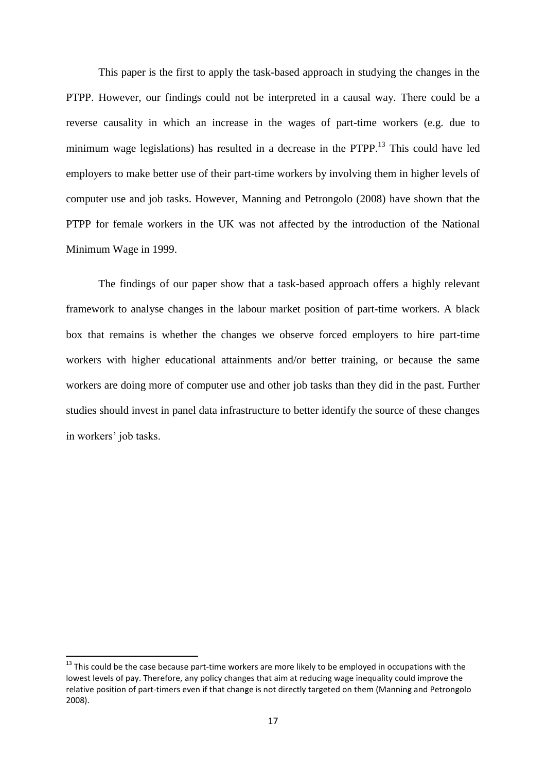This paper is the first to apply the task-based approach in studying the changes in the PTPP. However, our findings could not be interpreted in a causal way. There could be a reverse causality in which an increase in the wages of part-time workers (e.g. due to minimum wage legislations) has resulted in a decrease in the PTPP.<sup>13</sup> This could have led employers to make better use of their part-time workers by involving them in higher levels of computer use and job tasks. However, Manning and Petrongolo (2008) have shown that the PTPP for female workers in the UK was not affected by the introduction of the National Minimum Wage in 1999.

The findings of our paper show that a task-based approach offers a highly relevant framework to analyse changes in the labour market position of part-time workers. A black box that remains is whether the changes we observe forced employers to hire part-time workers with higher educational attainments and/or better training, or because the same workers are doing more of computer use and other job tasks than they did in the past. Further studies should invest in panel data infrastructure to better identify the source of these changes in workers' job tasks.

**.** 

 $13$  This could be the case because part-time workers are more likely to be employed in occupations with the lowest levels of pay. Therefore, any policy changes that aim at reducing wage inequality could improve the relative position of part-timers even if that change is not directly targeted on them (Manning and Petrongolo 2008).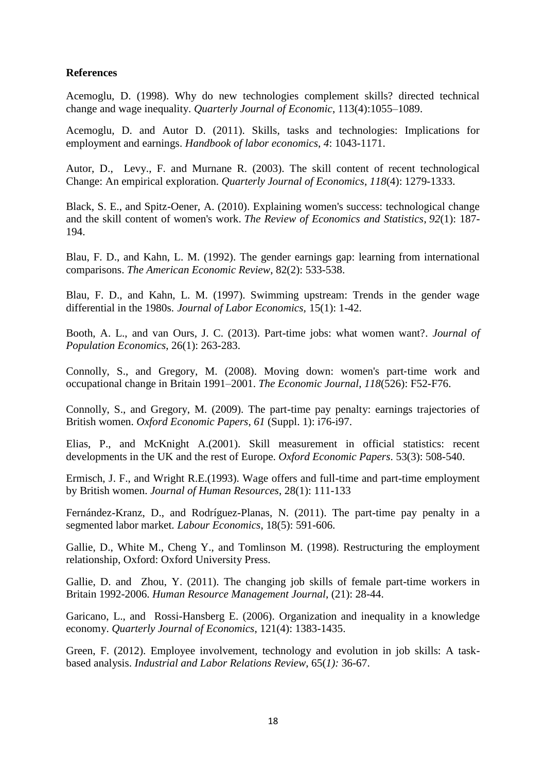## **References**

Acemoglu, D. (1998). Why do new technologies complement skills? directed technical change and wage inequality. *Quarterly Journal of Economic*, 113(4):1055–1089.

Acemoglu, D. and Autor D. (2011). Skills, tasks and technologies: Implications for employment and earnings. *Handbook of labor economics*, *4*: 1043-1171.

Autor, D., Levy., F. and Murnane R. (2003). The skill content of recent technological Change: An empirical exploration. *Quarterly Journal of Economics*, *118*(4): 1279-1333.

Black, S. E., and Spitz-Oener, A. (2010). Explaining women's success: technological change and the skill content of women's work. *The Review of Economics and Statistics*, *92*(1): 187- 194.

Blau, F. D., and Kahn, L. M. (1992). The gender earnings gap: learning from international comparisons. *The American Economic Review*, 82(2): 533-538.

Blau, F. D., and Kahn, L. M. (1997). Swimming upstream: Trends in the gender wage differential in the 1980s. *Journal of Labor Economics,* 15(1): 1-42.

Booth, A. L., and van Ours, J. C. (2013). Part-time jobs: what women want?. *Journal of Population Economics*, 26(1): 263-283.

Connolly, S., and Gregory, M. (2008). Moving down: women's part‐time work and occupational change in Britain 1991–2001. *The Economic Journal*, *118*(526): F52-F76.

Connolly, S., and Gregory, M. (2009). The part-time pay penalty: earnings trajectories of British women. *Oxford Economic Papers*, *61* (Suppl. 1): i76-i97.

Elias, P., and McKnight A.(2001). Skill measurement in official statistics: recent developments in the UK and the rest of Europe. *Oxford Economic Papers*. 53(3): 508-540.

Ermisch, J. F., and Wright R.E.(1993). Wage offers and full-time and part-time employment by British women. *Journal of Human Resources*, 28(1): 111-133

Fernández-Kranz, D., and Rodríguez-Planas, N. (2011). The part-time pay penalty in a segmented labor market. *Labour Economics*, 18(5): 591-606.

Gallie, D., White M., Cheng Y., and Tomlinson M. (1998). Restructuring the employment relationship, Oxford: Oxford University Press.

Gallie, D. and Zhou, Y. (2011). The changing job skills of female part-time workers in Britain 1992-2006. *Human Resource Management Journal*, (21): 28-44.

Garicano, L., and Rossi-Hansberg E. (2006). Organization and inequality in a knowledge economy. *Quarterly Journal of Economics*, 121(4): 1383-1435.

Green, F. (2012). Employee involvement, technology and evolution in job skills: A taskbased analysis. *Industrial and Labor Relations Review*, 65(*1):* 36-67.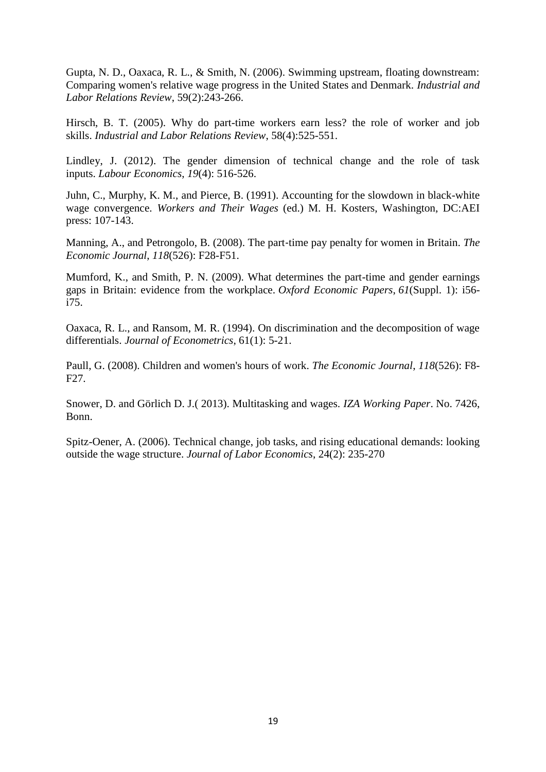Gupta, N. D., Oaxaca, R. L., & Smith, N. (2006). Swimming upstream, floating downstream: Comparing women's relative wage progress in the United States and Denmark. *Industrial and Labor Relations Review*, 59(2):243-266.

Hirsch, B. T. (2005). Why do part-time workers earn less? the role of worker and job skills. *Industrial and Labor Relations Review*, 58(4):525-551.

Lindley, J. (2012). The gender dimension of technical change and the role of task inputs. *Labour Economics*, *19*(4): 516-526.

Juhn, C., Murphy, K. M., and Pierce, B. (1991). Accounting for the slowdown in black-white wage convergence. *Workers and Their Wages* (ed.) M. H. Kosters, Washington, DC:AEI press: 107-143.

Manning, A., and Petrongolo, B. (2008). The part‐time pay penalty for women in Britain. *The Economic Journal*, *118*(526): F28-F51.

Mumford, K., and Smith, P. N. (2009). What determines the part-time and gender earnings gaps in Britain: evidence from the workplace. *Oxford Economic Papers*, *61*(Suppl. 1): i56 i75.

Oaxaca, R. L., and Ransom, M. R. (1994). On discrimination and the decomposition of wage differentials. *Journal of Econometrics*, 61(1): 5-21.

Paull, G. (2008). Children and women's hours of work. *The Economic Journal*, *118*(526): F8- F27.

Snower, D. and Görlich D. J.( 2013). Multitasking and wages. *IZA Working Paper*. No. 7426, Bonn.

Spitz-Oener, A. (2006). Technical change, job tasks, and rising educational demands: looking outside the wage structure. *Journal of Labor Economics*, 24(2): 235-270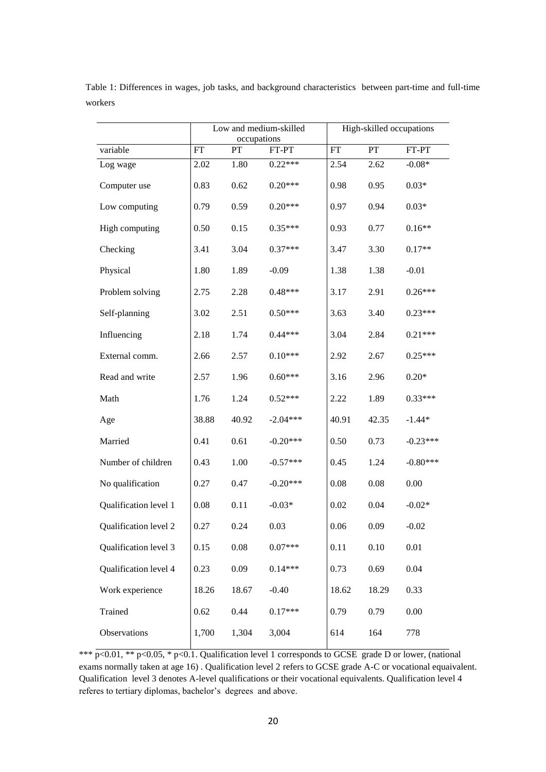|                       |           | Low and medium-skilled<br>occupations |            |           | High-skilled occupations |            |  |  |
|-----------------------|-----------|---------------------------------------|------------|-----------|--------------------------|------------|--|--|
| variable              | <b>FT</b> | PT                                    | FT-PT      | <b>FT</b> | PT                       | FT-PT      |  |  |
| Log wage              | 2.02      | 1.80                                  | $0.22***$  | 2.54      | 2.62                     | $-0.08*$   |  |  |
| Computer use          | 0.83      | 0.62                                  | $0.20***$  | 0.98      | 0.95                     | $0.03*$    |  |  |
| Low computing         | 0.79      | 0.59                                  | $0.20***$  | 0.97      | 0.94                     | $0.03*$    |  |  |
| High computing        | 0.50      | 0.15                                  | $0.35***$  | 0.93      | 0.77                     | $0.16**$   |  |  |
| Checking              | 3.41      | 3.04                                  | $0.37***$  | 3.47      | 3.30                     | $0.17**$   |  |  |
| Physical              | 1.80      | 1.89                                  | $-0.09$    | 1.38      | 1.38                     | $-0.01$    |  |  |
| Problem solving       | 2.75      | 2.28                                  | $0.48***$  | 3.17      | 2.91                     | $0.26***$  |  |  |
| Self-planning         | 3.02      | 2.51                                  | $0.50***$  | 3.63      | 3.40                     | $0.23***$  |  |  |
| Influencing           | 2.18      | 1.74                                  | $0.44***$  | 3.04      | 2.84                     | $0.21***$  |  |  |
| External comm.        | 2.66      | 2.57                                  | $0.10***$  | 2.92      | 2.67                     | $0.25***$  |  |  |
| Read and write        | 2.57      | 1.96                                  | $0.60***$  | 3.16      | 2.96                     | $0.20*$    |  |  |
| Math                  | 1.76      | 1.24                                  | $0.52***$  | 2.22      | 1.89                     | $0.33***$  |  |  |
| Age                   | 38.88     | 40.92                                 | $-2.04***$ | 40.91     | 42.35                    | $-1.44*$   |  |  |
| Married               | 0.41      | 0.61                                  | $-0.20***$ | 0.50      | 0.73                     | $-0.23***$ |  |  |
| Number of children    | 0.43      | 1.00                                  | $-0.57***$ | 0.45      | 1.24                     | $-0.80***$ |  |  |
| No qualification      | 0.27      | 0.47                                  | $-0.20***$ | 0.08      | 0.08                     | 0.00       |  |  |
| Qualification level 1 | 0.08      | 0.11                                  | $-0.03*$   | 0.02      | 0.04                     | $-0.02*$   |  |  |
| Qualification level 2 | 0.27      | 0.24                                  | 0.03       | 0.06      | 0.09                     | $-0.02$    |  |  |
| Qualification level 3 | 0.15      | 0.08                                  | $0.07***$  | 0.11      | 0.10                     | 0.01       |  |  |
| Qualification level 4 | 0.23      | 0.09                                  | $0.14***$  | 0.73      | 0.69                     | 0.04       |  |  |
| Work experience       | 18.26     | 18.67                                 | $-0.40$    | 18.62     | 18.29                    | 0.33       |  |  |
| Trained               | 0.62      | 0.44                                  | $0.17***$  | 0.79      | 0.79                     | 0.00       |  |  |
| Observations          | 1,700     | 1,304                                 | 3,004      | 614       | 164                      | 778        |  |  |

Table 1: Differences in wages, job tasks, and background characteristics between part-time and full-time workers

\*\*\* p<0.01, \*\* p<0.05, \* p<0.1. Qualification level 1 corresponds to GCSE grade D or lower, (national exams normally taken at age 16) . Qualification level 2 refers to GCSE grade A-C or vocational equaivalent. Qualification level 3 denotes A-level qualifications or their vocational equivalents. Qualification level 4 referes to tertiary diplomas, bachelor's degrees and above.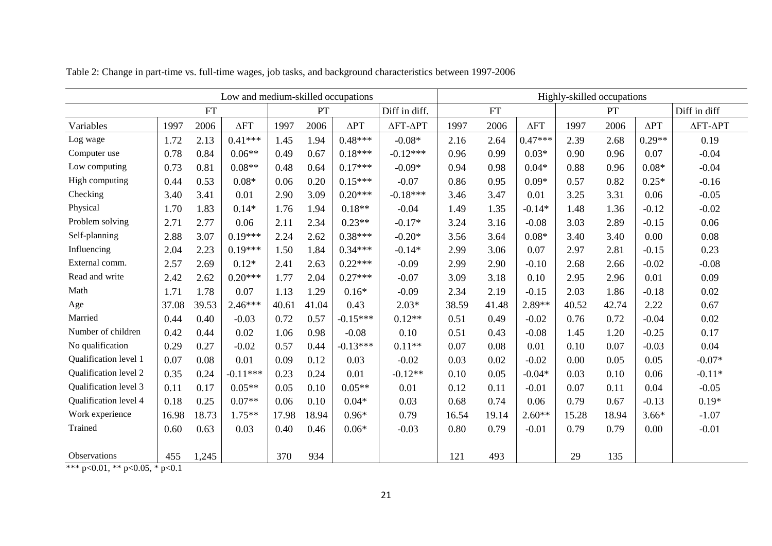| Low and medium-skilled occupations |       |                 |             | Highly-skilled occupations |               |             |            |       |       |             |       |              |             |          |
|------------------------------------|-------|-----------------|-------------|----------------------------|---------------|-------------|------------|-------|-------|-------------|-------|--------------|-------------|----------|
|                                    |       | PT<br><b>FT</b> |             |                            | Diff in diff. | <b>FT</b>   |            |       |       | PT          |       | Diff in diff |             |          |
| Variables                          | 1997  | 2006            | $\Delta FT$ | 1997                       | 2006          | $\Delta PT$ | ΔΕΤ-ΔΡΤ    | 1997  | 2006  | $\Delta FT$ | 1997  | 2006         | $\Delta PT$ | ΔΕΤ-ΔΡΤ  |
| Log wage                           | 1.72  | 2.13            | $0.41***$   | 1.45                       | 1.94          | $0.48***$   | $-0.08*$   | 2.16  | 2.64  | $0.47***$   | 2.39  | 2.68         | $0.29**$    | 0.19     |
| Computer use                       | 0.78  | 0.84            | $0.06**$    | 0.49                       | 0.67          | $0.18***$   | $-0.12***$ | 0.96  | 0.99  | $0.03*$     | 0.90  | 0.96         | 0.07        | $-0.04$  |
| Low computing                      | 0.73  | 0.81            | $0.08**$    | 0.48                       | 0.64          | $0.17***$   | $-0.09*$   | 0.94  | 0.98  | $0.04*$     | 0.88  | 0.96         | $0.08*$     | $-0.04$  |
| High computing                     | 0.44  | 0.53            | $0.08*$     | 0.06                       | 0.20          | $0.15***$   | $-0.07$    | 0.86  | 0.95  | $0.09*$     | 0.57  | 0.82         | $0.25*$     | $-0.16$  |
| Checking                           | 3.40  | 3.41            | 0.01        | 2.90                       | 3.09          | $0.20***$   | $-0.18***$ | 3.46  | 3.47  | 0.01        | 3.25  | 3.31         | 0.06        | $-0.05$  |
| Physical                           | 1.70  | 1.83            | $0.14*$     | 1.76                       | 1.94          | $0.18**$    | $-0.04$    | 1.49  | 1.35  | $-0.14*$    | 1.48  | 1.36         | $-0.12$     | $-0.02$  |
| Problem solving                    | 2.71  | 2.77            | 0.06        | 2.11                       | 2.34          | $0.23**$    | $-0.17*$   | 3.24  | 3.16  | $-0.08$     | 3.03  | 2.89         | $-0.15$     | 0.06     |
| Self-planning                      | 2.88  | 3.07            | $0.19***$   | 2.24                       | 2.62          | $0.38***$   | $-0.20*$   | 3.56  | 3.64  | $0.08*$     | 3.40  | 3.40         | 0.00        | 0.08     |
| Influencing                        | 2.04  | 2.23            | $0.19***$   | 1.50                       | 1.84          | $0.34***$   | $-0.14*$   | 2.99  | 3.06  | 0.07        | 2.97  | 2.81         | $-0.15$     | 0.23     |
| External comm.                     | 2.57  | 2.69            | $0.12*$     | 2.41                       | 2.63          | $0.22***$   | $-0.09$    | 2.99  | 2.90  | $-0.10$     | 2.68  | 2.66         | $-0.02$     | $-0.08$  |
| Read and write                     | 2.42  | 2.62            | $0.20***$   | 1.77                       | 2.04          | $0.27***$   | $-0.07$    | 3.09  | 3.18  | 0.10        | 2.95  | 2.96         | 0.01        | 0.09     |
| Math                               | 1.71  | 1.78            | 0.07        | 1.13                       | 1.29          | $0.16*$     | $-0.09$    | 2.34  | 2.19  | $-0.15$     | 2.03  | 1.86         | $-0.18$     | 0.02     |
| Age                                | 37.08 | 39.53           | $2.46***$   | 40.61                      | 41.04         | 0.43        | $2.03*$    | 38.59 | 41.48 | $2.89**$    | 40.52 | 42.74        | 2.22        | 0.67     |
| Married                            | 0.44  | 0.40            | $-0.03$     | 0.72                       | 0.57          | $-0.15***$  | $0.12**$   | 0.51  | 0.49  | $-0.02$     | 0.76  | 0.72         | $-0.04$     | 0.02     |
| Number of children                 | 0.42  | 0.44            | 0.02        | 1.06                       | 0.98          | $-0.08$     | 0.10       | 0.51  | 0.43  | $-0.08$     | 1.45  | 1.20         | $-0.25$     | 0.17     |
| No qualification                   | 0.29  | 0.27            | $-0.02$     | 0.57                       | 0.44          | $-0.13***$  | $0.11**$   | 0.07  | 0.08  | 0.01        | 0.10  | 0.07         | $-0.03$     | 0.04     |
| Qualification level 1              | 0.07  | 0.08            | 0.01        | 0.09                       | 0.12          | 0.03        | $-0.02$    | 0.03  | 0.02  | $-0.02$     | 0.00  | 0.05         | 0.05        | $-0.07*$ |
| Qualification level 2              | 0.35  | 0.24            | $-0.11***$  | 0.23                       | 0.24          | 0.01        | $-0.12**$  | 0.10  | 0.05  | $-0.04*$    | 0.03  | 0.10         | 0.06        | $-0.11*$ |
| Qualification level 3              | 0.11  | 0.17            | $0.05**$    | 0.05                       | 0.10          | $0.05**$    | 0.01       | 0.12  | 0.11  | $-0.01$     | 0.07  | 0.11         | 0.04        | $-0.05$  |
| Qualification level 4              | 0.18  | 0.25            | $0.07**$    | 0.06                       | 0.10          | $0.04*$     | 0.03       | 0.68  | 0.74  | 0.06        | 0.79  | 0.67         | $-0.13$     | $0.19*$  |
| Work experience                    | 16.98 | 18.73           | $1.75**$    | 17.98                      | 18.94         | $0.96*$     | 0.79       | 16.54 | 19.14 | $2.60**$    | 15.28 | 18.94        | $3.66*$     | $-1.07$  |
| Trained                            | 0.60  | 0.63            | 0.03        | 0.40                       | 0.46          | $0.06*$     | $-0.03$    | 0.80  | 0.79  | $-0.01$     | 0.79  | 0.79         | 0.00        | $-0.01$  |
|                                    |       |                 |             |                            |               |             |            |       |       |             |       |              |             |          |
| Observations                       | 455   | 1,245           |             | 370                        | 934           |             |            | 121   | 493   |             | 29    | 135          |             |          |

Table 2: Change in part-time vs. full-time wages, job tasks, and background characteristics between 1997-2006

\*\*\* p<0.01, \*\* p<0.05, \* p<0.1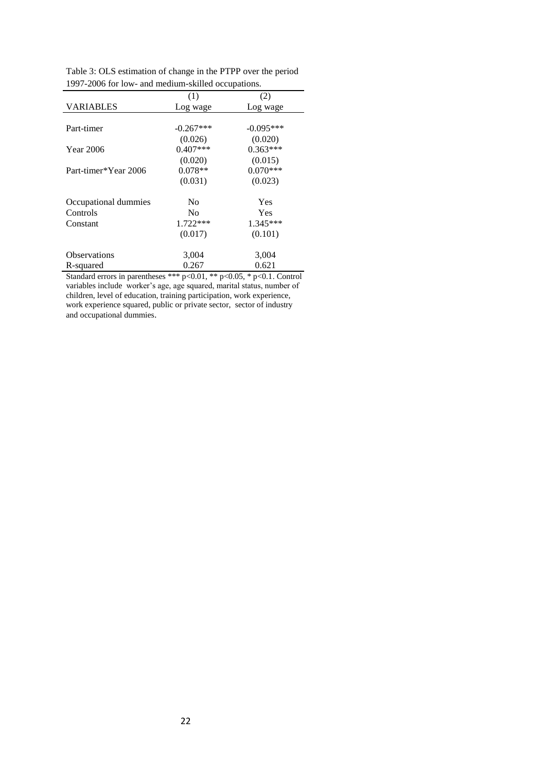|                      | (1)            | (2)         |
|----------------------|----------------|-------------|
| <b>VARIABLES</b>     | Log wage       | Log wage    |
|                      |                |             |
| Part-timer           | $-0.267***$    | $-0.095***$ |
|                      | (0.026)        | (0.020)     |
| <b>Year 2006</b>     | $0.407***$     | $0.363***$  |
|                      | (0.020)        | (0.015)     |
| Part-timer*Year 2006 | $0.078**$      | $0.070***$  |
|                      | (0.031)        | (0.023)     |
| Occupational dummies | N <sub>0</sub> | Yes         |
| Controls             | N <sub>0</sub> | Yes         |
| Constant             | $1.722***$     | $1.345***$  |
|                      | (0.017)        | (0.101)     |
| <b>Observations</b>  |                |             |
|                      | 3,004          | 3,004       |
| R-squared            | 0.267          | 0.621       |

Table 3: OLS estimation of change in the PTPP over the period 1997-2006 for low- and medium-skilled occupations.

Standard errors in parentheses \*\*\* p<0.01, \*\* p<0.05, \* p<0.1. Control variables include worker's age, age squared, marital status, number of children, level of education, training participation, work experience, work experience squared, public or private sector, sector of industry and occupational dummies.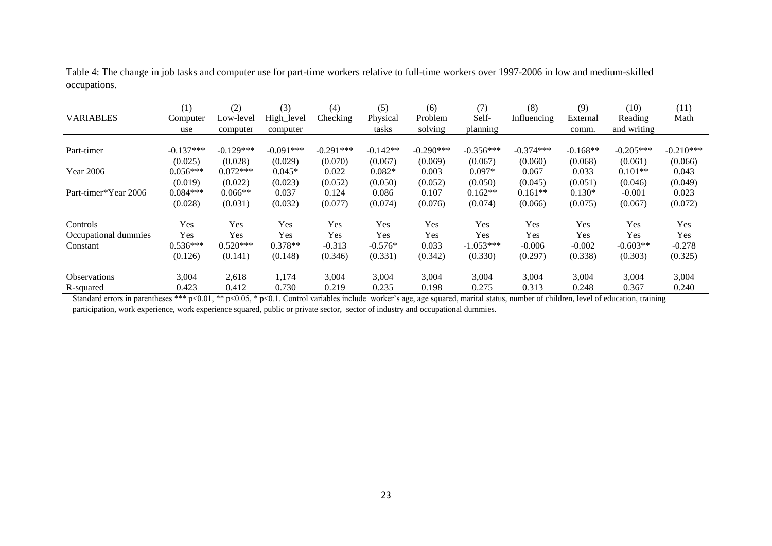Table 4: The change in job tasks and computer use for part-time workers relative to full-time workers over 1997-2006 in low and medium-skilled occupations.

| <b>VARIABLES</b>     | (1)<br>Computer<br>use | (2)<br>Low-level<br>computer | (3)<br>High_level<br>computer | (4)<br>Checking | (5)<br>Physical<br>tasks | (6)<br>Problem<br>solving | (7)<br>Self-<br>planning | (8)<br>Influencing | (9)<br>External<br>comm. | (10)<br>Reading<br>and writing | (11)<br>Math |
|----------------------|------------------------|------------------------------|-------------------------------|-----------------|--------------------------|---------------------------|--------------------------|--------------------|--------------------------|--------------------------------|--------------|
| Part-timer           | $-0.137***$            | $-0.129***$                  | $-0.091***$                   | $-0.291***$     | $-0.142**$               | $-0.290***$               | $-0.356***$              | $-0.374***$        | $-0.168**$               | $-0.205***$                    | $-0.210***$  |
|                      | (0.025)                | (0.028)                      | (0.029)                       | (0.070)         | (0.067)                  | (0.069)                   | (0.067)                  | (0.060)            | (0.068)                  | (0.061)                        | (0.066)      |
| <b>Year 2006</b>     | $0.056***$             | $0.072***$                   | $0.045*$                      | 0.022           | $0.082*$                 | 0.003                     | $0.097*$                 | 0.067              | 0.033                    | $0.101**$                      | 0.043        |
| Part-timer*Year 2006 | (0.019)                | (0.022)                      | (0.023)                       | (0.052)         | (0.050)                  | (0.052)                   | (0.050)                  | (0.045)            | (0.051)                  | (0.046)                        | (0.049)      |
|                      | $0.084***$             | $0.066**$                    | 0.037                         | 0.124           | 0.086                    | 0.107                     | $0.162**$                | $0.161**$          | $0.130*$                 | $-0.001$                       | 0.023        |
|                      | (0.028)                | (0.031)                      | (0.032)                       | (0.077)         | (0.074)                  | (0.076)                   | (0.074)                  | (0.066)            | (0.075)                  | (0.067)                        | (0.072)      |
| Controls             | Yes                    | Yes                          | Yes                           | Yes             | Yes                      | Yes                       | Yes                      | Yes                | <b>Yes</b>               | Yes                            | Yes          |
| Occupational dummies | Yes                    | Yes                          | Yes                           | Yes             | Yes                      | Yes                       | Yes                      | Yes                | <b>Yes</b>               | Yes                            | Yes          |
| Constant             | $0.536***$             | $0.520***$                   | $0.378**$                     | $-0.313$        | $-0.576*$                | 0.033                     | $-1.053***$              | $-0.006$           | $-0.002$                 | $-0.603**$                     | $-0.278$     |
|                      | (0.126)                | (0.141)                      | (0.148)                       | (0.346)         | (0.331)                  | (0.342)                   | (0.330)                  | (0.297)            | (0.338)                  | (0.303)                        | (0.325)      |
| <b>Observations</b>  | 3,004                  | 2,618                        | 1,174                         | 3,004           | 3,004                    | 3,004                     | 3,004                    | 3,004              | 3,004                    | 3,004                          | 3,004        |
| R-squared            | 0.423                  | 0.412                        | 0.730                         | 0.219           | 0.235                    | 0.198                     | 0.275                    | 0.313              | 0.248                    | 0.367                          | 0.240        |

Standard errors in parentheses \*\*\* p<0.01, \*\* p<0.05, \* p<0.1. Control variables include worker's age, age squared, marital status, number of children, level of education, training participation, work experience, work experience squared, public or private sector, sector of industry and occupational dummies.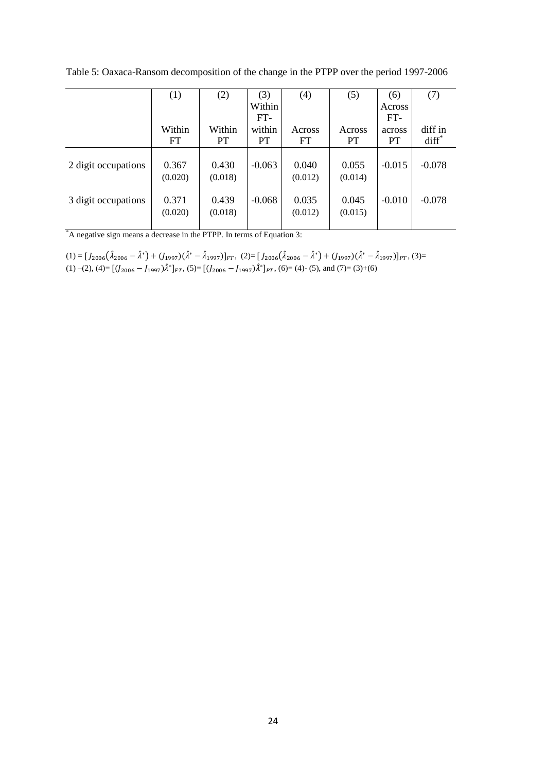Table 5: Oaxaca-Ransom decomposition of the change in the PTPP over the period 1997-2006

|                     | (1)                 | (2)              | (3)                          | (4)              | (5)                 | (6)                        | (7)                 |
|---------------------|---------------------|------------------|------------------------------|------------------|---------------------|----------------------------|---------------------|
|                     |                     |                  | Within                       |                  |                     | Across                     |                     |
|                     | Within<br><b>FT</b> | Within<br>PT     | $FT-$<br>within<br><b>PT</b> | Across<br>FT     | Across<br><b>PT</b> | FT-<br>across<br><b>PT</b> | diff in<br>$diff^*$ |
| 2 digit occupations | 0.367<br>(0.020)    | 0.430<br>(0.018) | $-0.063$                     | 0.040<br>(0.012) | 0.055<br>(0.014)    | $-0.015$                   | $-0.078$            |
| 3 digit occupations | 0.371<br>(0.020)    | 0.439<br>(0.018) | $-0.068$                     | 0.035<br>(0.012) | 0.045<br>(0.015)    | $-0.010$                   | $-0.078$            |

\*A negative sign means a decrease in the PTPP. In terms of Equation 3:

 $(1) = [J_{2006}(\hat{\lambda}_{2006} - \hat{\lambda}^*) + (J_{1997})(\hat{\lambda}^* - \hat{\lambda}_{1997})]_{FT}$ ,  $(2) = [J_{2006}(\hat{\lambda}_{2006} - \hat{\lambda}^*) + (J_{1997})(\hat{\lambda}^* - \hat{\lambda}_{1997})]_{PT}$ ,  $(3) =$ (1) –(2), (4)=  $[(J_{2006} - J_{1997})\hat{\lambda}^*]_{FT}$ , (5)=  $[(J_{2006} - J_{1997})\hat{\lambda}^*]_{PT}$ , (6)= (4)- (5), and (7)= (3)+(6)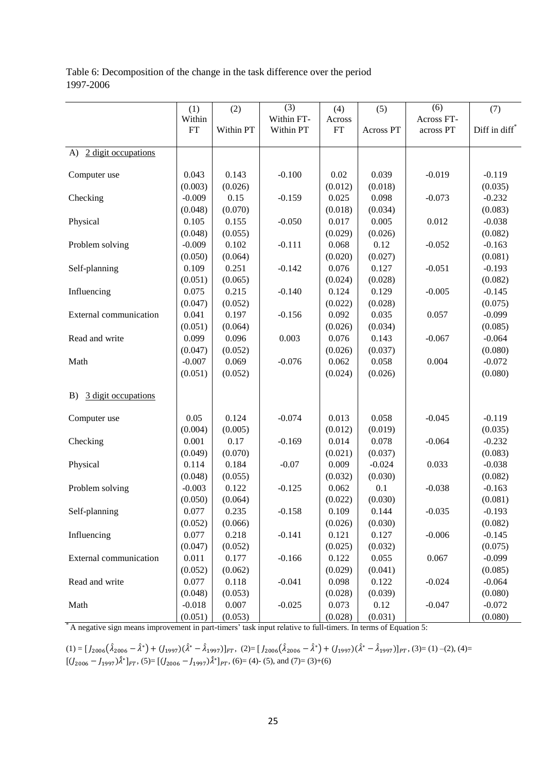Table 6: Decomposition of the change in the task difference over the period 1997-2006

|                           | (1)      | (2)       | (3)        | (4)     | (5)       | (6)        | (7)                       |
|---------------------------|----------|-----------|------------|---------|-----------|------------|---------------------------|
|                           | Within   |           | Within FT- | Across  |           | Across FT- |                           |
|                           | FT       | Within PT | Within PT  | FT      | Across PT | across PT  | Diff in diff <sup>*</sup> |
|                           |          |           |            |         |           |            |                           |
| 2 digit occupations<br>A) |          |           |            |         |           |            |                           |
| Computer use              | 0.043    | 0.143     | $-0.100$   | 0.02    | 0.039     | $-0.019$   | $-0.119$                  |
|                           | (0.003)  | (0.026)   |            | (0.012) | (0.018)   |            | (0.035)                   |
| Checking                  | $-0.009$ | 0.15      | $-0.159$   | 0.025   | 0.098     | $-0.073$   | $-0.232$                  |
|                           | (0.048)  | (0.070)   |            | (0.018) | (0.034)   |            | (0.083)                   |
| Physical                  | 0.105    | 0.155     | $-0.050$   | 0.017   | 0.005     | 0.012      | $-0.038$                  |
|                           | (0.048)  | (0.055)   |            | (0.029) | (0.026)   |            | (0.082)                   |
| Problem solving           | $-0.009$ | 0.102     | $-0.111$   | 0.068   | 0.12      | $-0.052$   | $-0.163$                  |
|                           | (0.050)  | (0.064)   |            | (0.020) | (0.027)   |            | (0.081)                   |
| Self-planning             | 0.109    | 0.251     | $-0.142$   | 0.076   | 0.127     | $-0.051$   | $-0.193$                  |
|                           | (0.051)  | (0.065)   |            | (0.024) | (0.028)   |            | (0.082)                   |
| Influencing               | 0.075    | 0.215     | $-0.140$   | 0.124   | 0.129     | $-0.005$   | $-0.145$                  |
|                           | (0.047)  | (0.052)   |            | (0.022) | (0.028)   |            | (0.075)                   |
| External communication    | 0.041    | 0.197     | $-0.156$   | 0.092   | 0.035     | 0.057      | $-0.099$                  |
|                           | (0.051)  | (0.064)   |            | (0.026) | (0.034)   |            | (0.085)                   |
| Read and write            | 0.099    | 0.096     | 0.003      | 0.076   | 0.143     | $-0.067$   | $-0.064$                  |
|                           | (0.047)  | (0.052)   |            | (0.026) | (0.037)   |            | (0.080)                   |
| Math                      | $-0.007$ | 0.069     | $-0.076$   | 0.062   | 0.058     | 0.004      | $-0.072$                  |
|                           | (0.051)  | (0.052)   |            | (0.024) | (0.026)   |            | (0.080)                   |
|                           |          |           |            |         |           |            |                           |
| 3 digit occupations<br>B) |          |           |            |         |           |            |                           |
| Computer use              | 0.05     | 0.124     | $-0.074$   | 0.013   | 0.058     | $-0.045$   | $-0.119$                  |
|                           | (0.004)  | (0.005)   |            | (0.012) | (0.019)   |            | (0.035)                   |
| Checking                  | 0.001    | 0.17      | $-0.169$   | 0.014   | 0.078     | $-0.064$   | $-0.232$                  |
|                           | (0.049)  | (0.070)   |            | (0.021) | (0.037)   |            | (0.083)                   |
| Physical                  | 0.114    | 0.184     | $-0.07$    | 0.009   | $-0.024$  | 0.033      | $-0.038$                  |
|                           | (0.048)  | (0.055)   |            | (0.032) | (0.030)   |            | (0.082)                   |
| Problem solving           | $-0.003$ | 0.122     | $-0.125$   | 0.062   | 0.1       | $-0.038$   | $-0.163$                  |
|                           | (0.050)  | (0.064)   |            | (0.022) | (0.030)   |            | (0.081)                   |
| Self-planning             | 0.077    | 0.235     | $-0.158$   | 0.109   | 0.144     | $-0.035$   | $-0.193$                  |
|                           | (0.052)  | (0.066)   |            | (0.026) | (0.030)   |            | (0.082)                   |
| Influencing               | 0.077    | 0.218     | $-0.141$   | 0.121   | 0.127     | $-0.006$   | $-0.145$                  |
|                           | (0.047)  | (0.052)   |            | (0.025) | (0.032)   |            | (0.075)                   |
| External communication    | 0.011    | 0.177     | $-0.166$   | 0.122   | 0.055     | 0.067      | $-0.099$                  |
|                           | (0.052)  | (0.062)   |            | (0.029) | (0.041)   |            | (0.085)                   |
| Read and write            | 0.077    | 0.118     | $-0.041$   | 0.098   | 0.122     | $-0.024$   | $-0.064$                  |
|                           | (0.048)  | (0.053)   |            | (0.028) | (0.039)   |            | (0.080)                   |
| Math                      | $-0.018$ | 0.007     | $-0.025$   | 0.073   | 0.12      | $-0.047$   | $-0.072$                  |
|                           | (0.051)  | (0.053)   |            | (0.028) | (0.031)   |            | (0.080)                   |

\* A negative sign means improvement in part-timers' task input relative to full-timers. In terms of Equation 5:

 $(1) = [J_{2006}(\hat{\lambda}_{2006} - \hat{\lambda}^*) + (J_{1997})(\hat{\lambda}^* - \hat{\lambda}_{1997})]_{FT}$ ,  $(2) = [J_{2006}(\hat{\lambda}_{2006} - \hat{\lambda}^*) + (J_{1997})(\hat{\lambda}^* - \hat{\lambda}_{1997})]_{PT}$ ,  $(3) = (1) - (2)$ ,  $(4) =$  $[(U_{2006} - J_{1997})\hat{\lambda}^*]_{FT}$ , (5)= $[(U_{2006} - J_{1997})\hat{\lambda}^*]_{PT}$ , (6)= (4)- (5), and (7)= (3)+(6)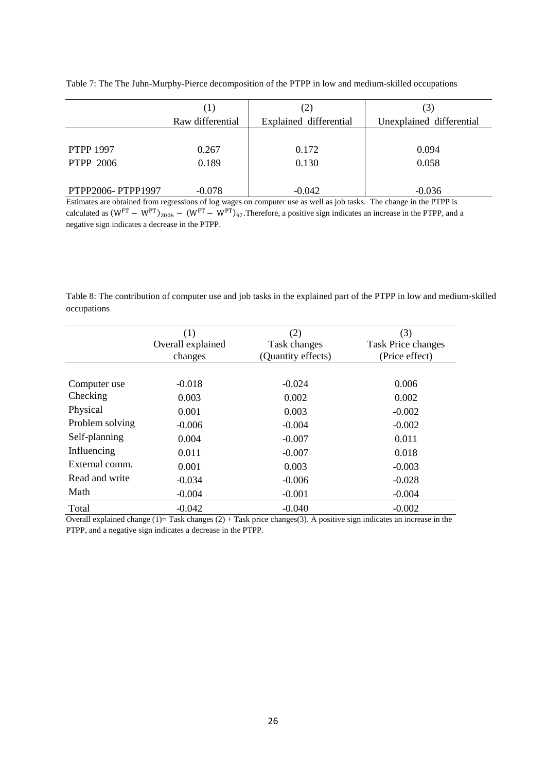|                   | (1)              | (2)                    | $\mathfrak{b}$ .         |
|-------------------|------------------|------------------------|--------------------------|
|                   | Raw differential | Explained differential | Unexplained differential |
|                   |                  |                        |                          |
| <b>PTPP 1997</b>  | 0.267            | 0.172                  | 0.094                    |
| <b>PTPP 2006</b>  | 0.189            | 0.130                  | 0.058                    |
|                   |                  |                        |                          |
| PTPP2006-PTPP1997 | $-0.078$         | $-0.042$               | $-0.036$                 |

Table 7: The The Juhn-Murphy-Pierce decomposition of the PTPP in low and medium-skilled occupations

Estimates are obtained from regressions of log wages on computer use as well as job tasks. The change in the PTPP is calculated as  $(W^{FT} - W^{PT})_{2006} - (W^{FT} - W^{PT})_{97}$ . Therefore, a positive sign indicates an increase in the PTPP, and a negative sign indicates a decrease in the PTPP.

Table 8: The contribution of computer use and job tasks in the explained part of the PTPP in low and medium-skilled occupations

|                 | (1)<br>Overall explained<br>changes | (2)<br>Task changes<br>(Quantity effects) | (3)<br><b>Task Price changes</b><br>(Price effect) |
|-----------------|-------------------------------------|-------------------------------------------|----------------------------------------------------|
|                 |                                     |                                           |                                                    |
| Computer use    | $-0.018$                            | $-0.024$                                  | 0.006                                              |
| Checking        | 0.003                               | 0.002                                     | 0.002                                              |
| Physical        | 0.001                               | 0.003                                     | $-0.002$                                           |
| Problem solving | $-0.006$                            | $-0.004$                                  | $-0.002$                                           |
| Self-planning   | 0.004                               | $-0.007$                                  | 0.011                                              |
| Influencing     | 0.011                               | $-0.007$                                  | 0.018                                              |
| External comm.  | 0.001                               | 0.003                                     | $-0.003$                                           |
| Read and write  | $-0.034$                            | $-0.006$                                  | $-0.028$                                           |
| Math            | $-0.004$                            | $-0.001$                                  | $-0.004$                                           |
| Total           | $-0.042$                            | $-0.040$                                  | $-0.002$                                           |

Overall explained change  $(1)$ = Task changes  $(2)$  + Task price changes(3). A positive sign indicates an increase in the PTPP, and a negative sign indicates a decrease in the PTPP.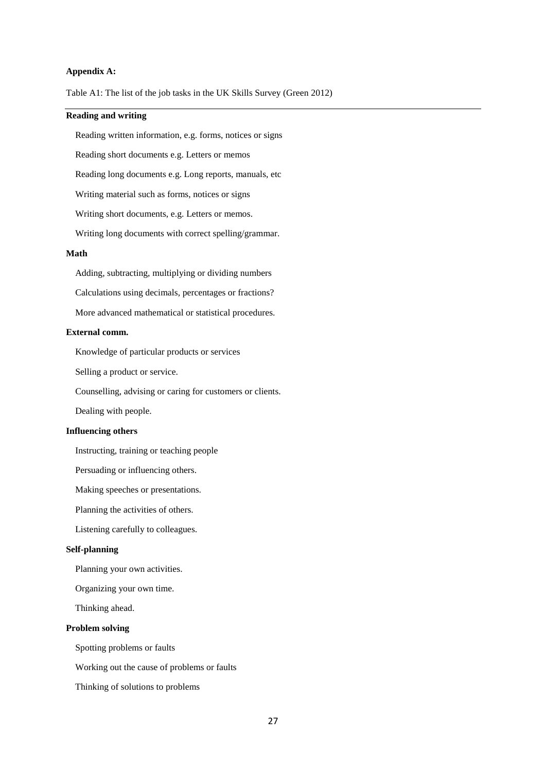#### **Appendix A:**

Table A1: The list of the job tasks in the UK Skills Survey (Green 2012)

### **Reading and writing**

Reading written information, e.g. forms, notices or signs

Reading short documents e.g. Letters or memos

Reading long documents e.g. Long reports, manuals, etc

Writing material such as forms, notices or signs

Writing short documents, e.g. Letters or memos.

Writing long documents with correct spelling/grammar.

#### **Math**

Adding, subtracting, multiplying or dividing numbers

Calculations using decimals, percentages or fractions?

More advanced mathematical or statistical procedures.

#### **External comm.**

Knowledge of particular products or services

Selling a product or service.

Counselling, advising or caring for customers or clients.

Dealing with people.

#### **Influencing others**

Instructing, training or teaching people

Persuading or influencing others.

Making speeches or presentations.

Planning the activities of others.

Listening carefully to colleagues.

#### **Self-planning**

Planning your own activities.

Organizing your own time.

Thinking ahead.

#### **Problem solving**

Spotting problems or faults

Working out the cause of problems or faults

Thinking of solutions to problems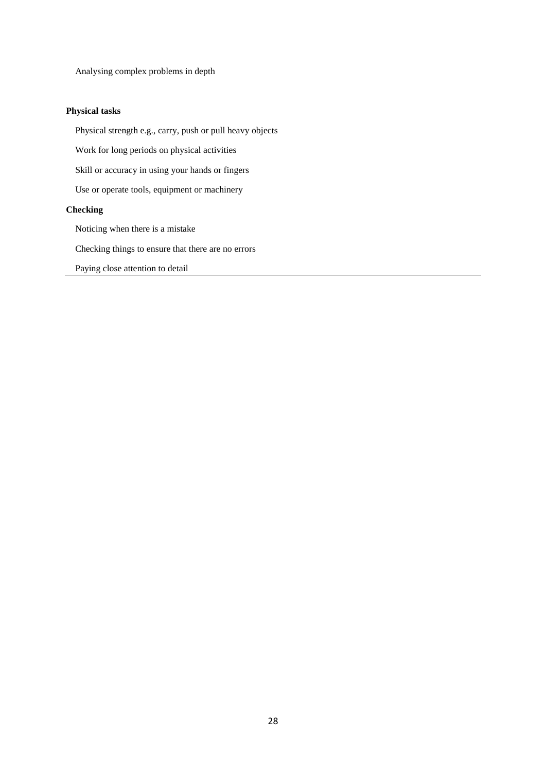Analysing complex problems in depth

#### **Physical tasks**

Physical strength e.g., carry, push or pull heavy objects

Work for long periods on physical activities

Skill or accuracy in using your hands or fingers

Use or operate tools, equipment or machinery

#### **Checking**

Noticing when there is a mistake

Checking things to ensure that there are no errors

Paying close attention to detail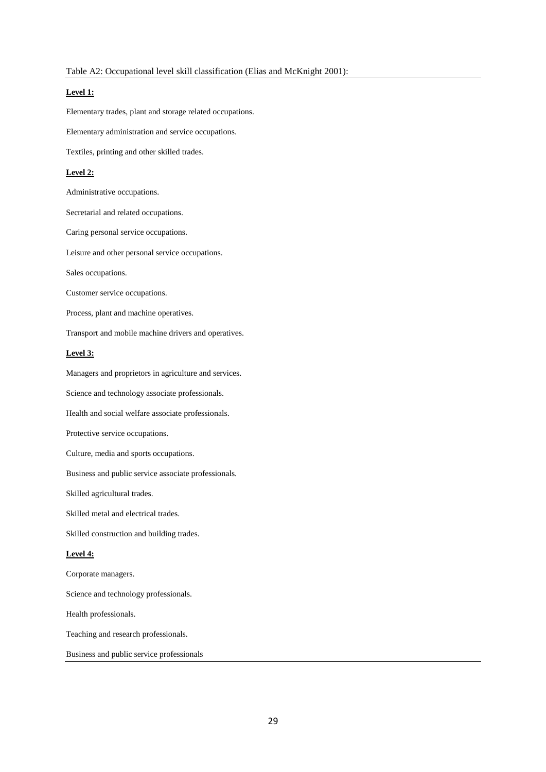#### **Level 1:**

Elementary trades, plant and storage related occupations.

Elementary administration and service occupations.

Textiles, printing and other skilled trades.

#### **Level 2:**

Administrative occupations.

Secretarial and related occupations.

Caring personal service occupations.

Leisure and other personal service occupations.

Sales occupations.

Customer service occupations.

Process, plant and machine operatives.

Transport and mobile machine drivers and operatives.

#### **Level 3:**

Managers and proprietors in agriculture and services.

Science and technology associate professionals.

Health and social welfare associate professionals.

Protective service occupations.

Culture, media and sports occupations.

Business and public service associate professionals.

Skilled agricultural trades.

Skilled metal and electrical trades.

Skilled construction and building trades.

#### **Level 4:**

Corporate managers.

Science and technology professionals.

Health professionals.

Teaching and research professionals.

Business and public service professionals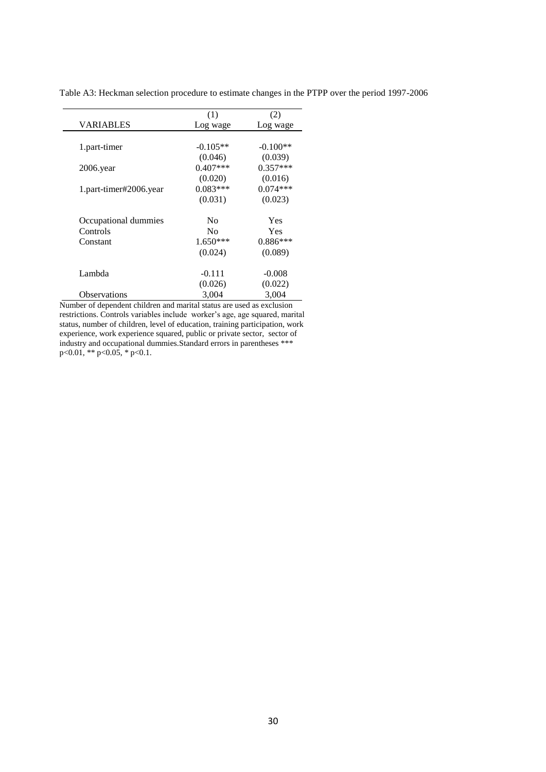|                        | (1)            | (2)        |
|------------------------|----------------|------------|
| <b>VARIABLES</b>       | Log wage       | Log wage   |
| 1.part-timer           | $-0.105**$     | $-0.100**$ |
|                        | (0.046)        | (0.039)    |
| $2006$ . year          | $0.407***$     | $0.357***$ |
|                        | (0.020)        | (0.016)    |
| 1.part-timer#2006.year | $0.083***$     | $0.074***$ |
|                        | (0.031)        | (0.023)    |
| Occupational dummies   | No             | <b>Yes</b> |
| Controls               | N <sub>0</sub> | Yes        |
| Constant               | $1.650***$     | $0.886***$ |
|                        | (0.024)        | (0.089)    |
| Lambda                 | $-0.111$       | $-0.008$   |
|                        | (0.026)        | (0.022)    |
| <b>Observations</b>    | 3,004          | 3,004      |

Table A3: Heckman selection procedure to estimate changes in the PTPP over the period 1997-2006

Number of dependent children and marital status are used as exclusion restrictions. Controls variables include worker's age, age squared, marital status, number of children, level of education, training participation, work experience, work experience squared, public or private sector, sector of industry and occupational dummies.Standard errors in parentheses \*\*\*  $p<0.01$ , \*\*  $p<0.05$ , \*  $p<0.1$ .